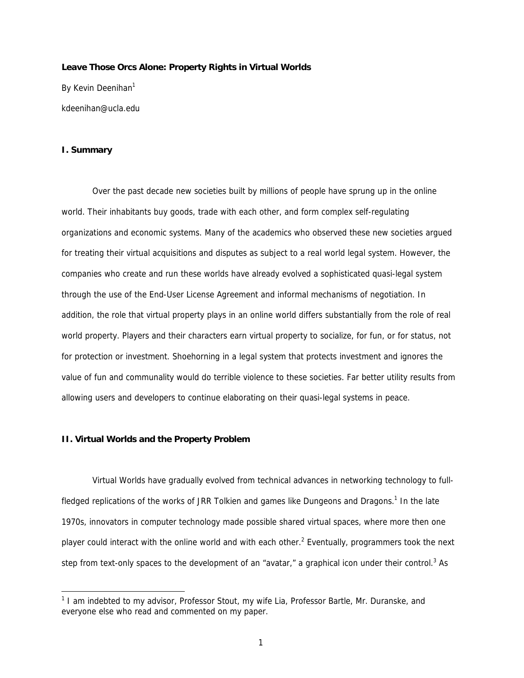#### **Leave Those Orcs Alone: Property Rights in Virtual Worlds**

By Kevin Deenihan<sup>1</sup> kdeenihan@ucla.edu

### **I. Summary**

-

 Over the past decade new societies built by millions of people have sprung up in the online world. Their inhabitants buy goods, trade with each other, and form complex self-regulating organizations and economic systems. Many of the academics who observed these new societies argued for treating their virtual acquisitions and disputes as subject to a real world legal system. However, the companies who create and run these worlds have already evolved a sophisticated quasi-legal system through the use of the End-User License Agreement and informal mechanisms of negotiation. In addition, the role that virtual property plays in an online world differs substantially from the role of real world property. Players and their characters earn virtual property to socialize, for fun, or for status, not for protection or investment. Shoehorning in a legal system that protects investment and ignores the value of fun and communality would do terrible violence to these societies. Far better utility results from allowing users and developers to continue elaborating on their quasi-legal systems in peace.

### **II. Virtual Worlds and the Property Problem**

 Virtual Worlds have gradually evolved from technical advances in networking technology to fullfledged replications of the works of JRR Tolkien and games like Dungeons and Dragons.<sup>1</sup> In the late 1970s, innovators in computer technology made possible shared virtual spaces, where more then one player could interact with the online world and with each other.<sup>2</sup> Eventually, programmers took the next step from text-only spaces to the development of an "avatar," a graphical icon under their control.<sup>3</sup> As

<sup>&</sup>lt;sup>1</sup> I am indebted to my advisor, Professor Stout, my wife Lia, Professor Bartle, Mr. Duranske, and everyone else who read and commented on my paper.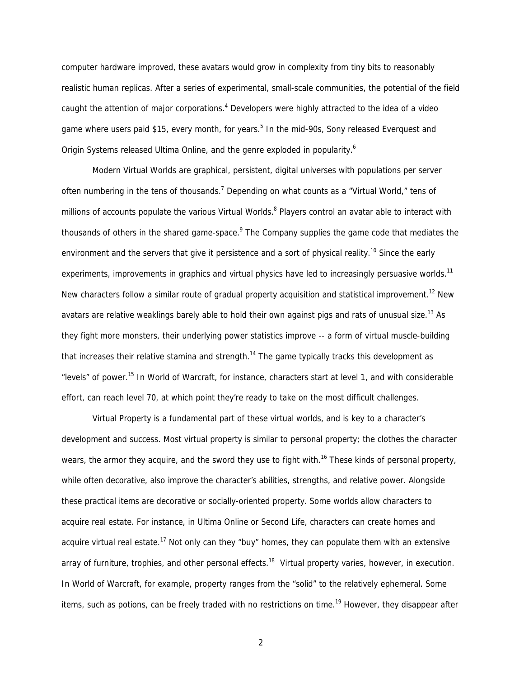computer hardware improved, these avatars would grow in complexity from tiny bits to reasonably realistic human replicas. After a series of experimental, small-scale communities, the potential of the field caught the attention of major corporations.<sup>4</sup> Developers were highly attracted to the idea of a video game where users paid \$15, every month, for years.<sup>5</sup> In the mid-90s, Sony released Everquest and Origin Systems released Ultima Online, and the genre exploded in popularity.<sup>6</sup>

Modern Virtual Worlds are graphical, persistent, digital universes with populations per server often numbering in the tens of thousands.<sup>7</sup> Depending on what counts as a "Virtual World," tens of millions of accounts populate the various Virtual Worlds. <sup>8</sup> Players control an avatar able to interact with thousands of others in the shared game-space.<sup>9</sup> The Company supplies the game code that mediates the environment and the servers that give it persistence and a sort of physical reality.<sup>10</sup> Since the early experiments, improvements in graphics and virtual physics have led to increasingly persuasive worlds.<sup>11</sup> New characters follow a similar route of gradual property acquisition and statistical improvement.<sup>12</sup> New avatars are relative weaklings barely able to hold their own against pigs and rats of unusual size.<sup>13</sup> As they fight more monsters, their underlying power statistics improve -- a form of virtual muscle-building that increases their relative stamina and strength.<sup>14</sup> The game typically tracks this development as "levels" of power.15 In World of Warcraft, for instance, characters start at level 1, and with considerable effort, can reach level 70, at which point they're ready to take on the most difficult challenges.

Virtual Property is a fundamental part of these virtual worlds, and is key to a character's development and success. Most virtual property is similar to personal property; the clothes the character wears, the armor they acquire, and the sword they use to fight with.<sup>16</sup> These kinds of personal property, while often decorative, also improve the character's abilities, strengths, and relative power. Alongside these practical items are decorative or socially-oriented property. Some worlds allow characters to acquire real estate. For instance, in Ultima Online or Second Life, characters can create homes and acquire virtual real estate.<sup>17</sup> Not only can they "buy" homes, they can populate them with an extensive array of furniture, trophies, and other personal effects.<sup>18</sup> Virtual property varies, however, in execution. In World of Warcraft, for example, property ranges from the "solid" to the relatively ephemeral. Some items, such as potions, can be freely traded with no restrictions on time.<sup>19</sup> However, they disappear after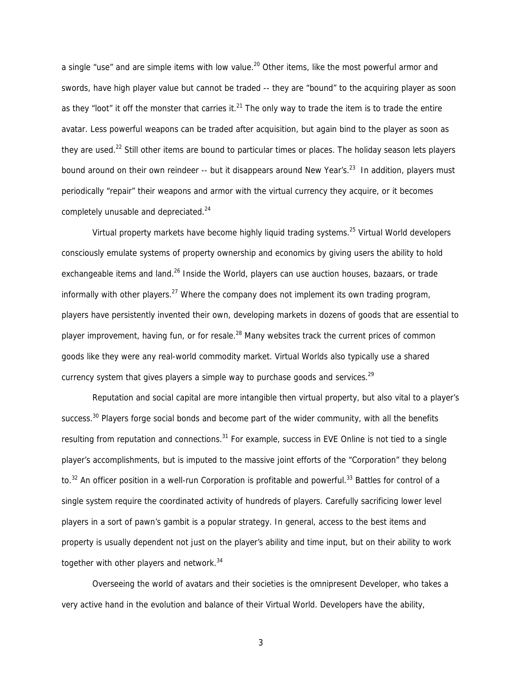a single "use" and are simple items with low value.<sup>20</sup> Other items, like the most powerful armor and swords, have high player value but cannot be traded -- they are "bound" to the acquiring player as soon as they "loot" it off the monster that carries it. $^{21}$  The only way to trade the item is to trade the entire avatar. Less powerful weapons can be traded after acquisition, but again bind to the player as soon as they are used.<sup>22</sup> Still other items are bound to particular times or places. The holiday season lets players bound around on their own reindeer -- but it disappears around New Year's.<sup>23</sup> In addition, players must periodically "repair" their weapons and armor with the virtual currency they acquire, or it becomes completely unusable and depreciated.<sup>24</sup>

Virtual property markets have become highly liquid trading systems.<sup>25</sup> Virtual World developers consciously emulate systems of property ownership and economics by giving users the ability to hold exchangeable items and land.<sup>26</sup> Inside the World, players can use auction houses, bazaars, or trade informally with other players.<sup>27</sup> Where the company does not implement its own trading program, players have persistently invented their own, developing markets in dozens of goods that are essential to player improvement, having fun, or for resale.<sup>28</sup> Many websites track the current prices of common goods like they were any real-world commodity market. Virtual Worlds also typically use a shared currency system that gives players a simple way to purchase goods and services.<sup>29</sup>

Reputation and social capital are more intangible then virtual property, but also vital to a player's success.<sup>30</sup> Players forge social bonds and become part of the wider community, with all the benefits resulting from reputation and connections.<sup>31</sup> For example, success in EVE Online is not tied to a single player's accomplishments, but is imputed to the massive joint efforts of the "Corporation" they belong to.<sup>32</sup> An officer position in a well-run Corporation is profitable and powerful.<sup>33</sup> Battles for control of a single system require the coordinated activity of hundreds of players. Carefully sacrificing lower level players in a sort of pawn's gambit is a popular strategy. In general, access to the best items and property is usually dependent not just on the player's ability and time input, but on their ability to work together with other players and network.<sup>34</sup>

Overseeing the world of avatars and their societies is the omnipresent Developer, who takes a very active hand in the evolution and balance of their Virtual World. Developers have the ability,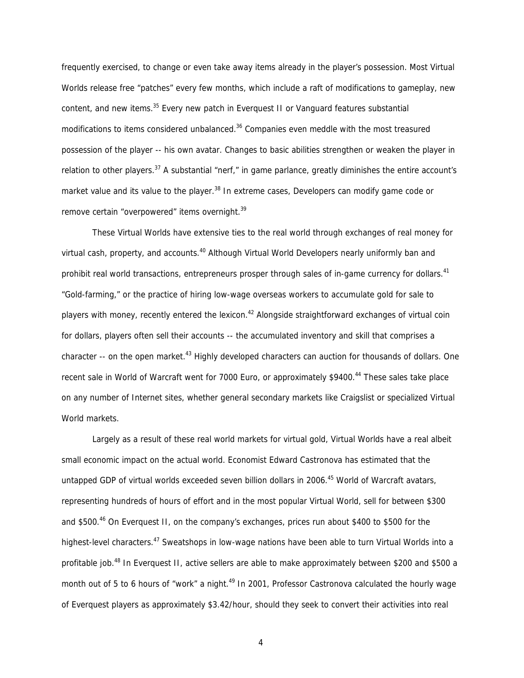frequently exercised, to change or even take away items already in the player's possession. Most Virtual Worlds release free "patches" every few months, which include a raft of modifications to gameplay, new content, and new items.<sup>35</sup> Every new patch in Everquest II or Vanguard features substantial modifications to items considered unbalanced.<sup>36</sup> Companies even meddle with the most treasured possession of the player -- his own avatar. Changes to basic abilities strengthen or weaken the player in relation to other players.<sup>37</sup> A substantial "nerf," in game parlance, greatly diminishes the entire account's market value and its value to the player.<sup>38</sup> In extreme cases, Developers can modify game code or remove certain "overpowered" items overnight.<sup>39</sup>

These Virtual Worlds have extensive ties to the real world through exchanges of real money for virtual cash, property, and accounts.<sup>40</sup> Although Virtual World Developers nearly uniformly ban and prohibit real world transactions, entrepreneurs prosper through sales of in-game currency for dollars.<sup>41</sup> "Gold-farming," or the practice of hiring low-wage overseas workers to accumulate gold for sale to players with money, recently entered the lexicon.<sup>42</sup> Alongside straightforward exchanges of virtual coin for dollars, players often sell their accounts -- the accumulated inventory and skill that comprises a character  $-$ - on the open market.<sup>43</sup> Highly developed characters can auction for thousands of dollars. One recent sale in World of Warcraft went for 7000 Euro, or approximately \$9400.<sup>44</sup> These sales take place on any number of Internet sites, whether general secondary markets like Craigslist or specialized Virtual World markets.

Largely as a result of these real world markets for virtual gold, Virtual Worlds have a real albeit small economic impact on the actual world. Economist Edward Castronova has estimated that the untapped GDP of virtual worlds exceeded seven billion dollars in 2006.<sup>45</sup> World of Warcraft avatars, representing hundreds of hours of effort and in the most popular Virtual World, sell for between \$300 and \$500.<sup>46</sup> On Everquest II, on the company's exchanges, prices run about \$400 to \$500 for the highest-level characters.<sup>47</sup> Sweatshops in low-wage nations have been able to turn Virtual Worlds into a profitable job.<sup>48</sup> In Everquest II, active sellers are able to make approximately between \$200 and \$500 a month out of 5 to 6 hours of "work" a night.<sup>49</sup> In 2001, Professor Castronova calculated the hourly wage of Everquest players as approximately \$3.42/hour, should they seek to convert their activities into real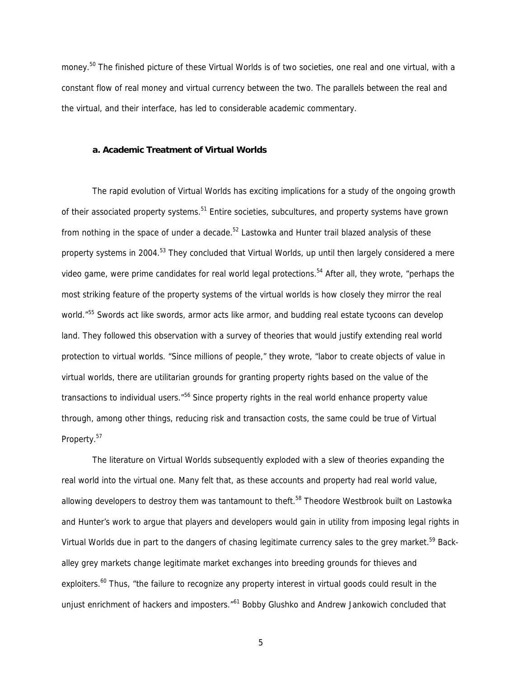money.<sup>50</sup> The finished picture of these Virtual Worlds is of two societies, one real and one virtual, with a constant flow of real money and virtual currency between the two. The parallels between the real and the virtual, and their interface, has led to considerable academic commentary.

#### **a. Academic Treatment of Virtual Worlds**

The rapid evolution of Virtual Worlds has exciting implications for a study of the ongoing growth of their associated property systems.<sup>51</sup> Entire societies, subcultures, and property systems have grown from nothing in the space of under a decade.<sup>52</sup> Lastowka and Hunter trail blazed analysis of these property systems in 2004.<sup>53</sup> They concluded that Virtual Worlds, up until then largely considered a mere video game, were prime candidates for real world legal protections.<sup>54</sup> After all, they wrote, "perhaps the most striking feature of the property systems of the virtual worlds is how closely they mirror the real world."<sup>55</sup> Swords act like swords, armor acts like armor, and budding real estate tycoons can develop land. They followed this observation with a survey of theories that would justify extending real world protection to virtual worlds. "Since millions of people," they wrote, "labor to create objects of value in virtual worlds, there are utilitarian grounds for granting property rights based on the value of the transactions to individual users.<sup>"56</sup> Since property rights in the real world enhance property value through, among other things, reducing risk and transaction costs, the same could be true of Virtual Property.<sup>57</sup>

The literature on Virtual Worlds subsequently exploded with a slew of theories expanding the real world into the virtual one. Many felt that, as these accounts and property had real world value, allowing developers to destroy them was tantamount to theft.<sup>58</sup> Theodore Westbrook built on Lastowka and Hunter's work to argue that players and developers would gain in utility from imposing legal rights in Virtual Worlds due in part to the dangers of chasing legitimate currency sales to the grey market.<sup>59</sup> Backalley grey markets change legitimate market exchanges into breeding grounds for thieves and exploiters.<sup>60</sup> Thus, "the failure to recognize any property interest in virtual goods could result in the unjust enrichment of hackers and imposters.<sup>"61</sup> Bobby Glushko and Andrew Jankowich concluded that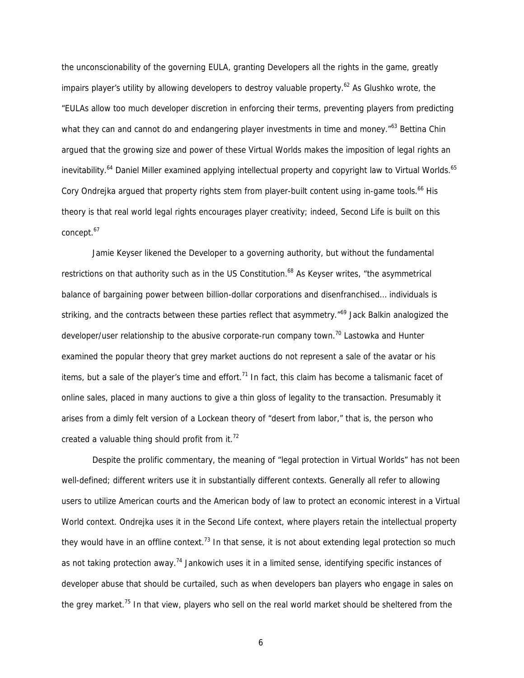the unconscionability of the governing EULA, granting Developers all the rights in the game, greatly impairs player's utility by allowing developers to destroy valuable property.<sup>62</sup> As Glushko wrote, the "EULAs allow too much developer discretion in enforcing their terms, preventing players from predicting what they can and cannot do and endangering player investments in time and money."<sup>63</sup> Bettina Chin argued that the growing size and power of these Virtual Worlds makes the imposition of legal rights an inevitability.<sup>64</sup> Daniel Miller examined applying intellectual property and copyright law to Virtual Worlds.<sup>65</sup> Cory Ondrejka argued that property rights stem from player-built content using in-game tools.<sup>66</sup> His theory is that real world legal rights encourages player creativity; indeed, Second Life is built on this concept.<sup>67</sup>

Jamie Keyser likened the Developer to a governing authority, but without the fundamental restrictions on that authority such as in the US Constitution.<sup>68</sup> As Keyser writes, "the asymmetrical balance of bargaining power between billion-dollar corporations and disenfranchised… individuals is striking, and the contracts between these parties reflect that asymmetry.<sup>"69</sup> Jack Balkin analogized the developer/user relationship to the abusive corporate-run company town.<sup>70</sup> Lastowka and Hunter examined the popular theory that grey market auctions do not represent a sale of the avatar or his items, but a sale of the player's time and effort.<sup>71</sup> In fact, this claim has become a talismanic facet of online sales, placed in many auctions to give a thin gloss of legality to the transaction. Presumably it arises from a dimly felt version of a Lockean theory of "desert from labor," that is, the person who created a valuable thing should profit from it. $72$ 

Despite the prolific commentary, the meaning of "legal protection in Virtual Worlds" has not been well-defined; different writers use it in substantially different contexts. Generally all refer to allowing users to utilize American courts and the American body of law to protect an economic interest in a Virtual World context. Ondrejka uses it in the Second Life context, where players retain the intellectual property they would have in an offline context.<sup>73</sup> In that sense, it is not about extending legal protection so much as not taking protection away.<sup>74</sup> Jankowich uses it in a limited sense, identifying specific instances of developer abuse that should be curtailed, such as when developers ban players who engage in sales on the grey market.<sup>75</sup> In that view, players who sell on the real world market should be sheltered from the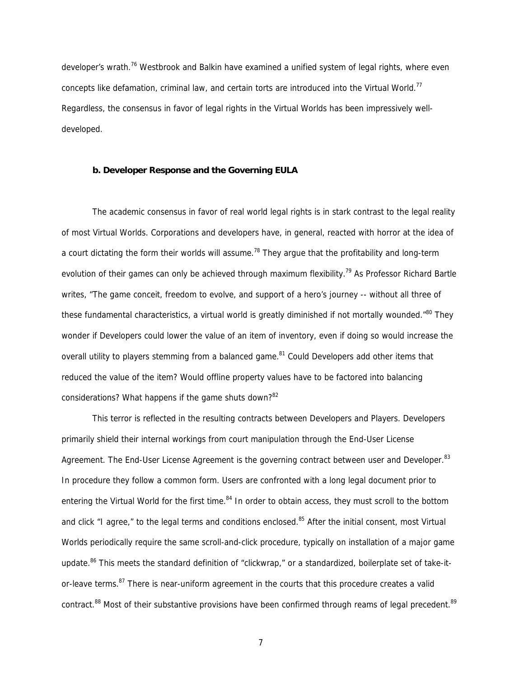developer's wrath.<sup>76</sup> Westbrook and Balkin have examined a unified system of legal rights, where even concepts like defamation, criminal law, and certain torts are introduced into the Virtual World.<sup>77</sup> Regardless, the consensus in favor of legal rights in the Virtual Worlds has been impressively welldeveloped.

# **b. Developer Response and the Governing EULA**

The academic consensus in favor of real world legal rights is in stark contrast to the legal reality of most Virtual Worlds. Corporations and developers have, in general, reacted with horror at the idea of a court dictating the form their worlds will assume.<sup>78</sup> They argue that the profitability and long-term evolution of their games can only be achieved through maximum flexibility.<sup>79</sup> As Professor Richard Bartle writes, "The game conceit, freedom to evolve, and support of a hero's journey -- without all three of these fundamental characteristics, a virtual world is greatly diminished if not mortally wounded.<sup>"80</sup> They wonder if Developers could lower the value of an item of inventory, even if doing so would increase the overall utility to players stemming from a balanced game.<sup>81</sup> Could Developers add other items that reduced the value of the item? Would offline property values have to be factored into balancing considerations? What happens if the game shuts down? $82$ 

This terror is reflected in the resulting contracts between Developers and Players. Developers primarily shield their internal workings from court manipulation through the End-User License Agreement. The End-User License Agreement is the governing contract between user and Developer.<sup>83</sup> In procedure they follow a common form. Users are confronted with a long legal document prior to entering the Virtual World for the first time.<sup>84</sup> In order to obtain access, they must scroll to the bottom and click "I agree," to the legal terms and conditions enclosed.<sup>85</sup> After the initial consent, most Virtual Worlds periodically require the same scroll-and-click procedure, typically on installation of a major game update.<sup>86</sup> This meets the standard definition of "clickwrap," or a standardized, boilerplate set of take-itor-leave terms.<sup>87</sup> There is near-uniform agreement in the courts that this procedure creates a valid contract.<sup>88</sup> Most of their substantive provisions have been confirmed through reams of legal precedent.<sup>89</sup>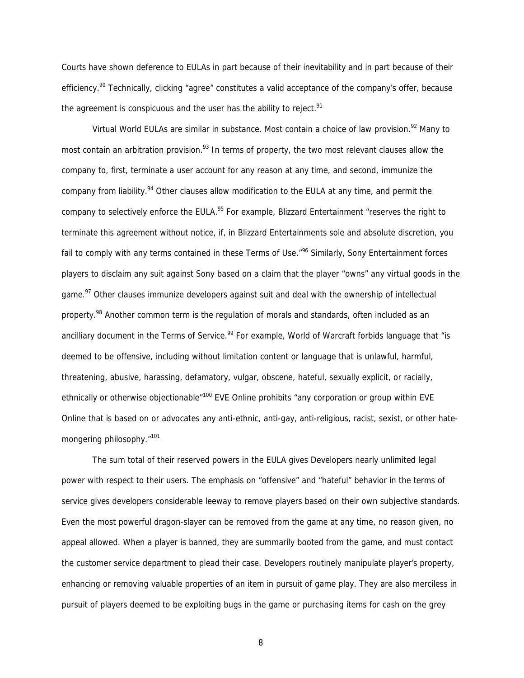Courts have shown deference to EULAs in part because of their inevitability and in part because of their efficiency.<sup>90</sup> Technically, clicking "agree" constitutes a valid acceptance of the company's offer, because the agreement is conspicuous and the user has the ability to reject. $91$ 

Virtual World EULAs are similar in substance. Most contain a choice of law provision.<sup>92</sup> Many to most contain an arbitration provision.<sup>93</sup> In terms of property, the two most relevant clauses allow the company to, first, terminate a user account for any reason at any time, and second, immunize the company from liability.<sup>94</sup> Other clauses allow modification to the EULA at any time, and permit the company to selectively enforce the EULA.<sup>95</sup> For example, Blizzard Entertainment "reserves the right to terminate this agreement without notice, if, in Blizzard Entertainments sole and absolute discretion, you fail to comply with any terms contained in these Terms of Use.<sup>"96</sup> Similarly, Sony Entertainment forces players to disclaim any suit against Sony based on a claim that the player "owns" any virtual goods in the game.<sup>97</sup> Other clauses immunize developers against suit and deal with the ownership of intellectual property.<sup>98</sup> Another common term is the regulation of morals and standards, often included as an ancilliary document in the Terms of Service.<sup>99</sup> For example, World of Warcraft forbids language that "is deemed to be offensive, including without limitation content or language that is unlawful, harmful, threatening, abusive, harassing, defamatory, vulgar, obscene, hateful, sexually explicit, or racially, ethnically or otherwise objectionable<sup>"100</sup> EVE Online prohibits "any corporation or group within EVE Online that is based on or advocates any anti-ethnic, anti-gay, anti-religious, racist, sexist, or other hatemongering philosophy."<sup>101</sup>

 The sum total of their reserved powers in the EULA gives Developers nearly unlimited legal power with respect to their users. The emphasis on "offensive" and "hateful" behavior in the terms of service gives developers considerable leeway to remove players based on their own subjective standards. Even the most powerful dragon-slayer can be removed from the game at any time, no reason given, no appeal allowed. When a player is banned, they are summarily booted from the game, and must contact the customer service department to plead their case. Developers routinely manipulate player's property, enhancing or removing valuable properties of an item in pursuit of game play. They are also merciless in pursuit of players deemed to be exploiting bugs in the game or purchasing items for cash on the grey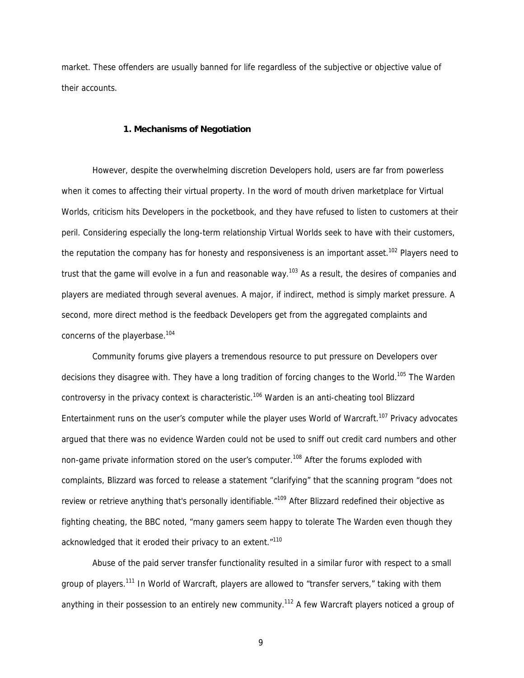market. These offenders are usually banned for life regardless of the subjective or objective value of their accounts.

### **1. Mechanisms of Negotiation**

However, despite the overwhelming discretion Developers hold, users are far from powerless when it comes to affecting their virtual property. In the word of mouth driven marketplace for Virtual Worlds, criticism hits Developers in the pocketbook, and they have refused to listen to customers at their peril. Considering especially the long-term relationship Virtual Worlds seek to have with their customers, the reputation the company has for honesty and responsiveness is an important asset.<sup>102</sup> Players need to trust that the game will evolve in a fun and reasonable way.<sup>103</sup> As a result, the desires of companies and players are mediated through several avenues. A major, if indirect, method is simply market pressure. A second, more direct method is the feedback Developers get from the aggregated complaints and concerns of the playerbase.<sup>104</sup>

Community forums give players a tremendous resource to put pressure on Developers over decisions they disagree with. They have a long tradition of forcing changes to the World.<sup>105</sup> The Warden controversy in the privacy context is characteristic.<sup>106</sup> Warden is an anti-cheating tool Blizzard Entertainment runs on the user's computer while the player uses World of Warcraft.<sup>107</sup> Privacy advocates argued that there was no evidence Warden could not be used to sniff out credit card numbers and other non-game private information stored on the user's computer.<sup>108</sup> After the forums exploded with complaints, Blizzard was forced to release a statement "clarifying" that the scanning program "does not review or retrieve anything that's personally identifiable."<sup>109</sup> After Blizzard redefined their objective as fighting cheating, the BBC noted, "many gamers seem happy to tolerate The Warden even though they acknowledged that it eroded their privacy to an extent."<sup>110</sup>

Abuse of the paid server transfer functionality resulted in a similar furor with respect to a small aroup of players.<sup>111</sup> In World of Warcraft, players are allowed to "transfer servers," taking with them anything in their possession to an entirely new community.<sup>112</sup> A few Warcraft players noticed a group of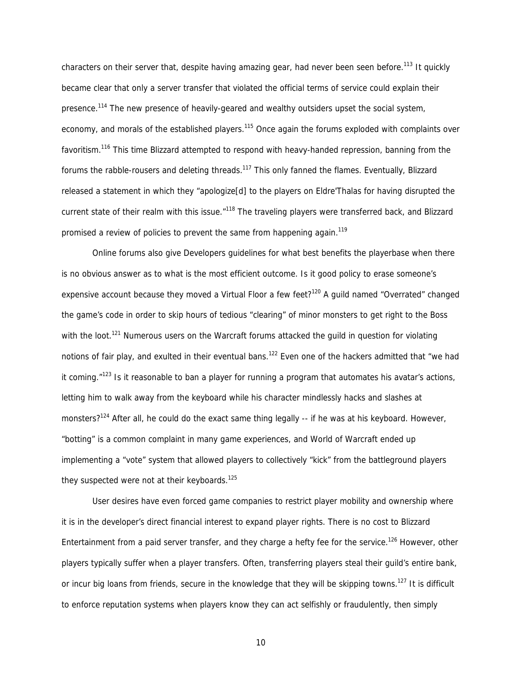characters on their server that, despite having amazing gear, had never been seen before.<sup>113</sup> It quickly became clear that only a server transfer that violated the official terms of service could explain their presence.<sup>114</sup> The new presence of heavily-geared and wealthy outsiders upset the social system, economy, and morals of the established players.<sup>115</sup> Once again the forums exploded with complaints over favoritism.116 This time Blizzard attempted to respond with heavy-handed repression, banning from the forums the rabble-rousers and deleting threads.<sup>117</sup> This only fanned the flames. Eventually, Blizzard released a statement in which they "apologize[d] to the players on Eldre'Thalas for having disrupted the current state of their realm with this issue."<sup>118</sup> The traveling players were transferred back, and Blizzard promised a review of policies to prevent the same from happening again.<sup>119</sup>

Online forums also give Developers guidelines for what best benefits the playerbase when there is no obvious answer as to what is the most efficient outcome. Is it good policy to erase someone's expensive account because they moved a Virtual Floor a few feet?<sup>120</sup> A guild named "Overrated" changed the game's code in order to skip hours of tedious "clearing" of minor monsters to get right to the Boss with the loot.<sup>121</sup> Numerous users on the Warcraft forums attacked the quild in question for violating notions of fair play, and exulted in their eventual bans.<sup>122</sup> Even one of the hackers admitted that "we had it coming. $"123$  Is it reasonable to ban a player for running a program that automates his avatar's actions, letting him to walk away from the keyboard while his character mindlessly hacks and slashes at monsters?<sup>124</sup> After all, he could do the exact same thing legally -- if he was at his keyboard. However, "botting" is a common complaint in many game experiences, and World of Warcraft ended up implementing a "vote" system that allowed players to collectively "kick" from the battleground players they suspected were not at their keyboards.<sup>125</sup>

User desires have even forced game companies to restrict player mobility and ownership where it is in the developer's direct financial interest to expand player rights. There is no cost to Blizzard Entertainment from a paid server transfer, and they charge a hefty fee for the service.<sup>126</sup> However, other players typically suffer when a player transfers. Often, transferring players steal their guild's entire bank, or incur big loans from friends, secure in the knowledge that they will be skipping towns.<sup>127</sup> It is difficult to enforce reputation systems when players know they can act selfishly or fraudulently, then simply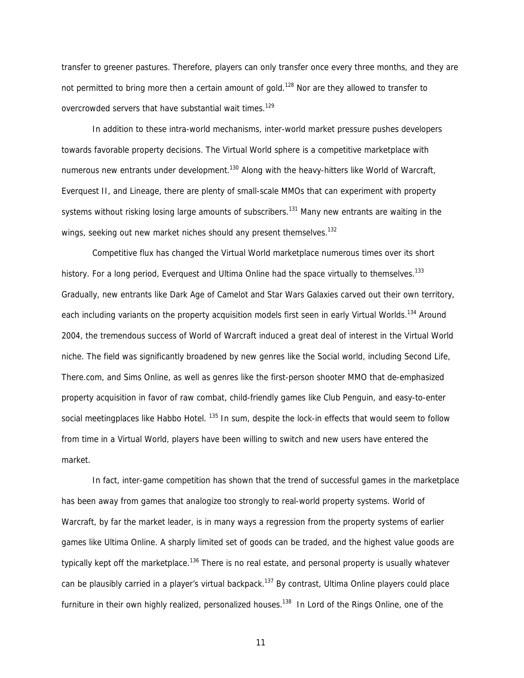transfer to greener pastures. Therefore, players can only transfer once every three months, and they are not permitted to bring more then a certain amount of gold.<sup>128</sup> Nor are they allowed to transfer to overcrowded servers that have substantial wait times.<sup>129</sup>

In addition to these intra-world mechanisms, inter-world market pressure pushes developers towards favorable property decisions. The Virtual World sphere is a competitive marketplace with numerous new entrants under development.<sup>130</sup> Along with the heavy-hitters like World of Warcraft, Everquest II, and Lineage, there are plenty of small-scale MMOs that can experiment with property systems without risking losing large amounts of subscribers.<sup>131</sup> Many new entrants are waiting in the wings, seeking out new market niches should any present themselves.<sup>132</sup>

 Competitive flux has changed the Virtual World marketplace numerous times over its short history. For a long period, Everguest and Ultima Online had the space virtually to themselves.<sup>133</sup> Gradually, new entrants like Dark Age of Camelot and Star Wars Galaxies carved out their own territory, each including variants on the property acquisition models first seen in early Virtual Worlds.<sup>134</sup> Around 2004, the tremendous success of World of Warcraft induced a great deal of interest in the Virtual World niche. The field was significantly broadened by new genres like the Social world, including Second Life, There.com, and Sims Online, as well as genres like the first-person shooter MMO that de-emphasized property acquisition in favor of raw combat, child-friendly games like Club Penguin, and easy-to-enter social meetingplaces like Habbo Hotel. <sup>135</sup> In sum, despite the lock-in effects that would seem to follow from time in a Virtual World, players have been willing to switch and new users have entered the market.

In fact, inter-game competition has shown that the trend of successful games in the marketplace has been away from games that analogize too strongly to real-world property systems. World of Warcraft, by far the market leader, is in many ways a regression from the property systems of earlier games like Ultima Online. A sharply limited set of goods can be traded, and the highest value goods are typically kept off the marketplace.<sup>136</sup> There is no real estate, and personal property is usually whatever can be plausibly carried in a player's virtual backpack.<sup>137</sup> By contrast, Ultima Online players could place furniture in their own highly realized, personalized houses.<sup>138</sup> In Lord of the Rings Online, one of the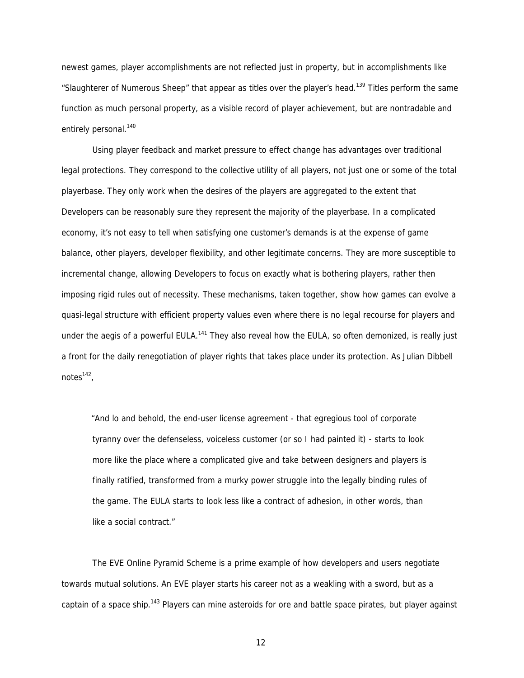newest games, player accomplishments are not reflected just in property, but in accomplishments like "Slaughterer of Numerous Sheep" that appear as titles over the player's head.<sup>139</sup> Titles perform the same function as much personal property, as a visible record of player achievement, but are nontradable and entirely personal.<sup>140</sup>

Using player feedback and market pressure to effect change has advantages over traditional legal protections. They correspond to the collective utility of all players, not just one or some of the total playerbase. They only work when the desires of the players are aggregated to the extent that Developers can be reasonably sure they represent the majority of the playerbase. In a complicated economy, it's not easy to tell when satisfying one customer's demands is at the expense of game balance, other players, developer flexibility, and other legitimate concerns. They are more susceptible to incremental change, allowing Developers to focus on exactly what is bothering players, rather then imposing rigid rules out of necessity. These mechanisms, taken together, show how games can evolve a quasi-legal structure with efficient property values even where there is no legal recourse for players and under the aegis of a powerful EULA.<sup>141</sup> They also reveal how the EULA, so often demonized, is really just a front for the daily renegotiation of player rights that takes place under its protection. As Julian Dibbell notes $142$ ,

"And lo and behold, the end-user license agreement - that egregious tool of corporate tyranny over the defenseless, voiceless customer (or so I had painted it) - starts to look more like the place where a complicated give and take between designers and players is finally ratified, transformed from a murky power struggle into the legally binding rules of the game. The EULA starts to look less like a contract of adhesion, in other words, than like a social contract."

The EVE Online Pyramid Scheme is a prime example of how developers and users negotiate towards mutual solutions. An EVE player starts his career not as a weakling with a sword, but as a captain of a space ship.<sup>143</sup> Players can mine asteroids for ore and battle space pirates, but player against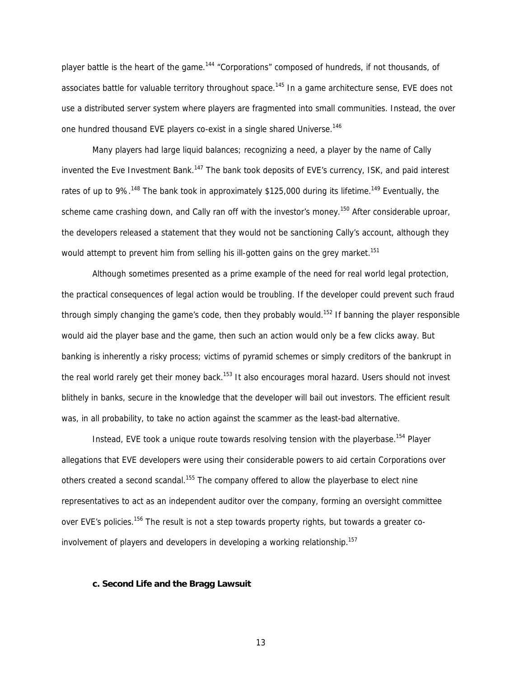player battle is the heart of the game.<sup>144</sup> "Corporations" composed of hundreds, if not thousands, of associates battle for valuable territory throughout space.<sup>145</sup> In a game architecture sense, EVE does not use a distributed server system where players are fragmented into small communities. Instead, the over one hundred thousand EVE players co-exist in a single shared Universe.<sup>146</sup>

Many players had large liquid balances; recognizing a need, a player by the name of Cally invented the Eve Investment Bank.<sup>147</sup> The bank took deposits of EVE's currency, ISK, and paid interest rates of up to 9%.<sup>148</sup> The bank took in approximately \$125,000 during its lifetime.<sup>149</sup> Eventually, the scheme came crashing down, and Cally ran off with the investor's money.<sup>150</sup> After considerable uproar, the developers released a statement that they would not be sanctioning Cally's account, although they would attempt to prevent him from selling his ill-gotten gains on the grey market.<sup>151</sup>

Although sometimes presented as a prime example of the need for real world legal protection, the practical consequences of legal action would be troubling. If the developer could prevent such fraud through simply changing the game's code, then they probably would.<sup>152</sup> If banning the player responsible would aid the player base and the game, then such an action would only be a few clicks away. But banking is inherently a risky process; victims of pyramid schemes or simply creditors of the bankrupt in the real world rarely get their money back.<sup>153</sup> It also encourages moral hazard. Users should not invest blithely in banks, secure in the knowledge that the developer will bail out investors. The efficient result was, in all probability, to take no action against the scammer as the least-bad alternative.

Instead, EVE took a unique route towards resolving tension with the playerbase.<sup>154</sup> Player allegations that EVE developers were using their considerable powers to aid certain Corporations over others created a second scandal.<sup>155</sup> The company offered to allow the playerbase to elect nine representatives to act as an independent auditor over the company, forming an oversight committee over EVE's policies.<sup>156</sup> The result is not a step towards property rights, but towards a greater coinvolvement of players and developers in developing a working relationship.<sup>157</sup>

# **c. Second Life and the Bragg Lawsuit**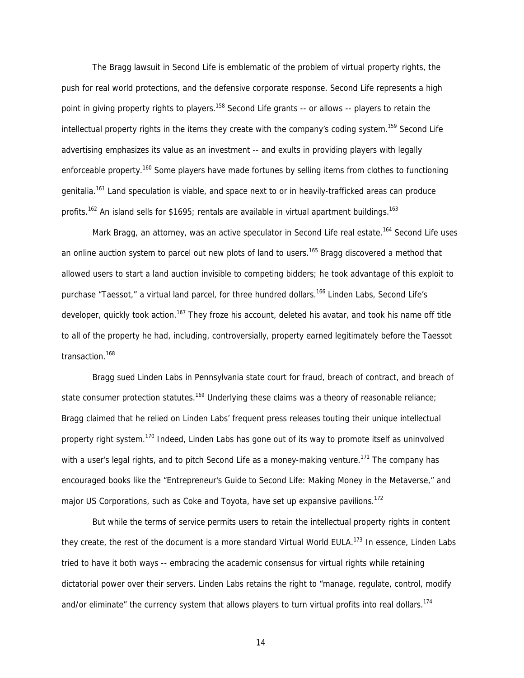The Bragg lawsuit in Second Life is emblematic of the problem of virtual property rights, the push for real world protections, and the defensive corporate response. Second Life represents a high point in giving property rights to players.<sup>158</sup> Second Life grants -- or allows -- players to retain the intellectual property rights in the items they create with the company's coding system.<sup>159</sup> Second Life advertising emphasizes its value as an investment -- and exults in providing players with legally enforceable property.<sup>160</sup> Some players have made fortunes by selling items from clothes to functioning genitalia.<sup>161</sup> Land speculation is viable, and space next to or in heavily-trafficked areas can produce profits.<sup>162</sup> An island sells for \$1695; rentals are available in virtual apartment buildings.<sup>163</sup>

Mark Bragg, an attorney, was an active speculator in Second Life real estate.<sup>164</sup> Second Life uses an online auction system to parcel out new plots of land to users.<sup>165</sup> Bragg discovered a method that allowed users to start a land auction invisible to competing bidders; he took advantage of this exploit to purchase "Taessot," a virtual land parcel, for three hundred dollars.<sup>166</sup> Linden Labs, Second Life's developer, quickly took action.<sup>167</sup> They froze his account, deleted his avatar, and took his name off title to all of the property he had, including, controversially, property earned legitimately before the Taessot transaction.<sup>168</sup>

Bragg sued Linden Labs in Pennsylvania state court for fraud, breach of contract, and breach of state consumer protection statutes.<sup>169</sup> Underlying these claims was a theory of reasonable reliance; Bragg claimed that he relied on Linden Labs' frequent press releases touting their unique intellectual property right system.<sup>170</sup> Indeed, Linden Labs has gone out of its way to promote itself as uninvolved with a user's legal rights, and to pitch Second Life as a money-making venture.<sup>171</sup> The company has encouraged books like the "Entrepreneur's Guide to Second Life: Making Money in the Metaverse," and major US Corporations, such as Coke and Toyota, have set up expansive pavilions.<sup>172</sup>

But while the terms of service permits users to retain the intellectual property rights in content they create, the rest of the document is a more standard Virtual World EULA.<sup>173</sup> In essence, Linden Labs tried to have it both ways -- embracing the academic consensus for virtual rights while retaining dictatorial power over their servers. Linden Labs retains the right to "manage, regulate, control, modify and/or eliminate" the currency system that allows players to turn virtual profits into real dollars.<sup>174</sup>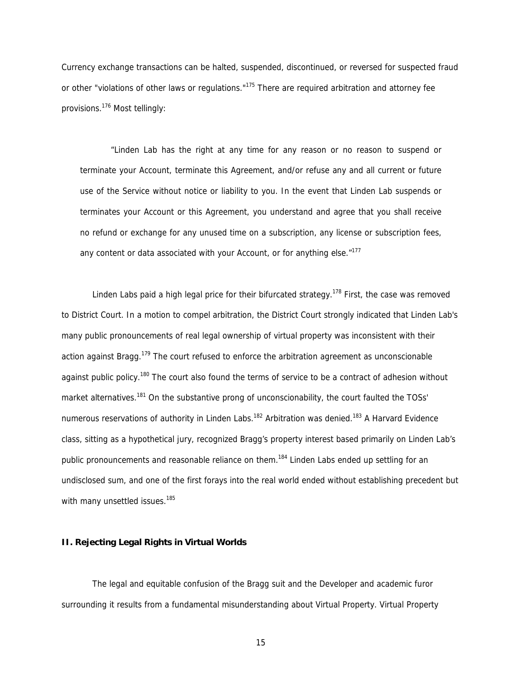Currency exchange transactions can be halted, suspended, discontinued, or reversed for suspected fraud or other "violations of other laws or regulations."<sup>175</sup> There are required arbitration and attorney fee provisions.176 Most tellingly:

"Linden Lab has the right at any time for any reason or no reason to suspend or terminate your Account, terminate this Agreement, and/or refuse any and all current or future use of the Service without notice or liability to you. In the event that Linden Lab suspends or terminates your Account or this Agreement, you understand and agree that you shall receive no refund or exchange for any unused time on a subscription, any license or subscription fees, any content or data associated with your Account, or for anything else. $"^{177}$ 

Linden Labs paid a high legal price for their bifurcated strategy.<sup>178</sup> First, the case was removed to District Court. In a motion to compel arbitration, the District Court strongly indicated that Linden Lab's many public pronouncements of real legal ownership of virtual property was inconsistent with their action against Bragg.<sup>179</sup> The court refused to enforce the arbitration agreement as unconscionable against public policy.<sup>180</sup> The court also found the terms of service to be a contract of adhesion without market alternatives.<sup>181</sup> On the substantive prong of unconscionability, the court faulted the TOSs' numerous reservations of authority in Linden Labs.<sup>182</sup> Arbitration was denied.<sup>183</sup> A Harvard Evidence class, sitting as a hypothetical jury, recognized Bragg's property interest based primarily on Linden Lab's public pronouncements and reasonable reliance on them.<sup>184</sup> Linden Labs ended up settling for an undisclosed sum, and one of the first forays into the real world ended without establishing precedent but with many unsettled issues.<sup>185</sup>

#### **II. Rejecting Legal Rights in Virtual Worlds**

The legal and equitable confusion of the Bragg suit and the Developer and academic furor surrounding it results from a fundamental misunderstanding about Virtual Property. Virtual Property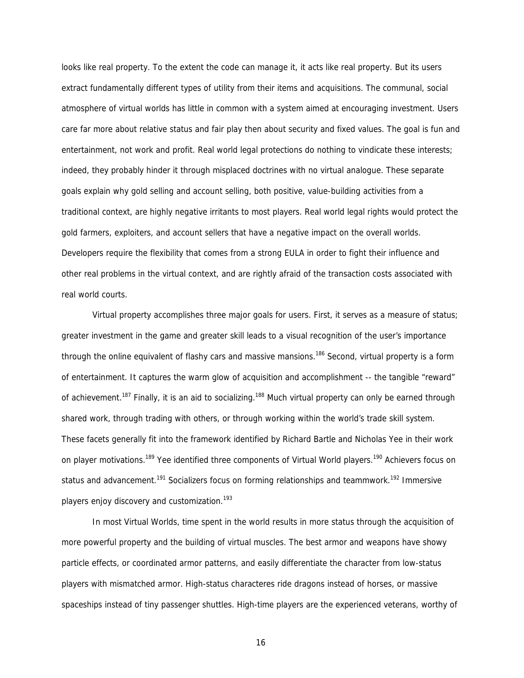looks like real property. To the extent the code can manage it, it acts like real property. But its users extract fundamentally different types of utility from their items and acquisitions. The communal, social atmosphere of virtual worlds has little in common with a system aimed at encouraging investment. Users care far more about relative status and fair play then about security and fixed values. The goal is fun and entertainment, not work and profit. Real world legal protections do nothing to vindicate these interests; indeed, they probably hinder it through misplaced doctrines with no virtual analogue. These separate goals explain why gold selling and account selling, both positive, value-building activities from a traditional context, are highly negative irritants to most players. Real world legal rights would protect the gold farmers, exploiters, and account sellers that have a negative impact on the overall worlds. Developers require the flexibility that comes from a strong EULA in order to fight their influence and other real problems in the virtual context, and are rightly afraid of the transaction costs associated with real world courts.

Virtual property accomplishes three major goals for users. First, it serves as a measure of status; greater investment in the game and greater skill leads to a visual recognition of the user's importance through the online equivalent of flashy cars and massive mansions.<sup>186</sup> Second, virtual property is a form of entertainment. It captures the warm glow of acquisition and accomplishment -- the tangible "reward" of achievement.<sup>187</sup> Finally, it is an aid to socializing.<sup>188</sup> Much virtual property can only be earned through shared work, through trading with others, or through working within the world's trade skill system. These facets generally fit into the framework identified by Richard Bartle and Nicholas Yee in their work on player motivations.<sup>189</sup> Yee identified three components of Virtual World players.<sup>190</sup> Achievers focus on status and advancement.<sup>191</sup> Socializers focus on forming relationships and teammwork.<sup>192</sup> Immersive players enjoy discovery and customization.<sup>193</sup>

In most Virtual Worlds, time spent in the world results in more status through the acquisition of more powerful property and the building of virtual muscles. The best armor and weapons have showy particle effects, or coordinated armor patterns, and easily differentiate the character from low-status players with mismatched armor. High-status characteres ride dragons instead of horses, or massive spaceships instead of tiny passenger shuttles. High-time players are the experienced veterans, worthy of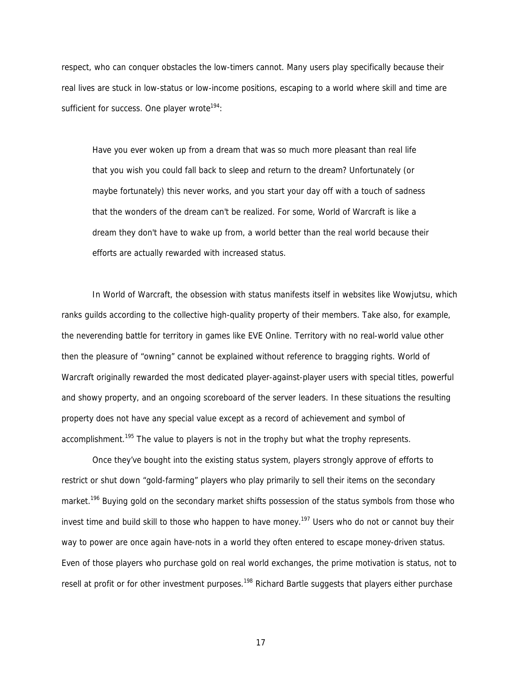respect, who can conquer obstacles the low-timers cannot. Many users play specifically because their real lives are stuck in low-status or low-income positions, escaping to a world where skill and time are sufficient for success. One player wrote<sup>194</sup>:

Have you ever woken up from a dream that was so much more pleasant than real life that you wish you could fall back to sleep and return to the dream? Unfortunately (or maybe fortunately) this never works, and you start your day off with a touch of sadness that the wonders of the dream can't be realized. For some, World of Warcraft is like a dream they don't have to wake up from, a world better than the real world because their efforts are actually rewarded with increased status.

In World of Warcraft, the obsession with status manifests itself in websites like Wowjutsu, which ranks guilds according to the collective high-quality property of their members. Take also, for example, the neverending battle for territory in games like EVE Online. Territory with no real-world value other then the pleasure of "owning" cannot be explained without reference to bragging rights. World of Warcraft originally rewarded the most dedicated player-against-player users with special titles, powerful and showy property, and an ongoing scoreboard of the server leaders. In these situations the resulting property does not have any special value except as a record of achievement and symbol of accomplishment.<sup>195</sup> The value to players is not in the trophy but what the trophy represents.

Once they've bought into the existing status system, players strongly approve of efforts to restrict or shut down "gold-farming" players who play primarily to sell their items on the secondary market.<sup>196</sup> Buying gold on the secondary market shifts possession of the status symbols from those who invest time and build skill to those who happen to have money.<sup>197</sup> Users who do not or cannot buy their way to power are once again have-nots in a world they often entered to escape money-driven status. Even of those players who purchase gold on real world exchanges, the prime motivation is status, not to resell at profit or for other investment purposes.<sup>198</sup> Richard Bartle suggests that players either purchase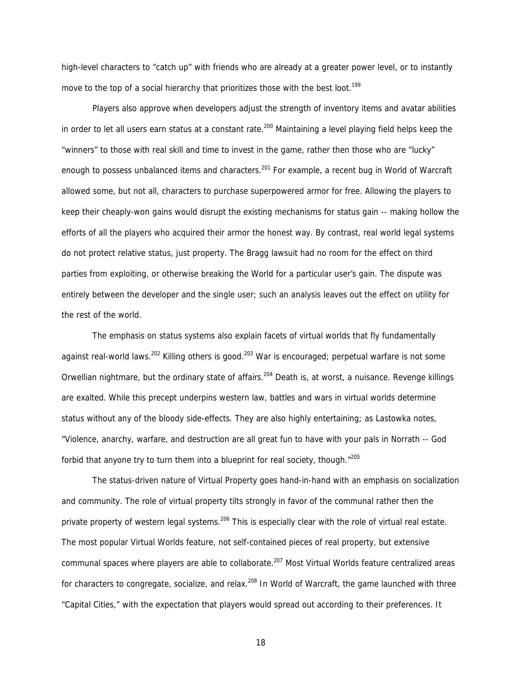high-level characters to "catch up" with friends who are already at a greater power level, or to instantly move to the top of a social hierarchy that prioritizes those with the best loot.<sup>199</sup>

Players also approve when developers adjust the strength of inventory items and avatar abilities in order to let all users earn status at a constant rate.<sup>200</sup> Maintaining a level playing field helps keep the "winners" to those with real skill and time to invest in the game, rather then those who are "lucky" enough to possess unbalanced items and characters.<sup>201</sup> For example, a recent bug in World of Warcraft allowed some, but not all, characters to purchase superpowered armor for free. Allowing the players to keep their cheaply-won gains would disrupt the existing mechanisms for status gain -- making hollow the efforts of all the players who acquired their armor the honest way. By contrast, real world legal systems do not protect relative status, just property. The Bragg lawsuit had no room for the effect on third parties from exploiting, or otherwise breaking the World for a particular user's gain. The dispute was entirely between the developer and the single user; such an analysis leaves out the effect on utility for the rest of the world.

The emphasis on status systems also explain facets of virtual worlds that fly fundamentally against real-world laws.<sup>202</sup> Killing others is good.<sup>203</sup> War is encouraged; perpetual warfare is not some Orwellian nightmare, but the ordinary state of affairs.<sup>204</sup> Death is, at worst, a nuisance. Revenge killings are exalted. While this precept underpins western law, battles and wars in virtual worlds determine status without any of the bloody side-effects. They are also highly entertaining; as Lastowka notes, "Violence, anarchy, warfare, and destruction are all great fun to have with your pals in Norrath -- God forbid that anyone try to turn them into a blueprint for real society, though. $n^{205}$ 

The status-driven nature of Virtual Property goes hand-in-hand with an emphasis on socialization and community. The role of virtual property tilts strongly in favor of the communal rather then the private property of western legal systems.<sup>206</sup> This is especially clear with the role of virtual real estate. The most popular Virtual Worlds feature, not self-contained pieces of real property, but extensive communal spaces where players are able to collaborate.<sup>207</sup> Most Virtual Worlds feature centralized areas for characters to congregate, socialize, and relax.<sup>208</sup> In World of Warcraft, the game launched with three "Capital Cities," with the expectation that players would spread out according to their preferences. It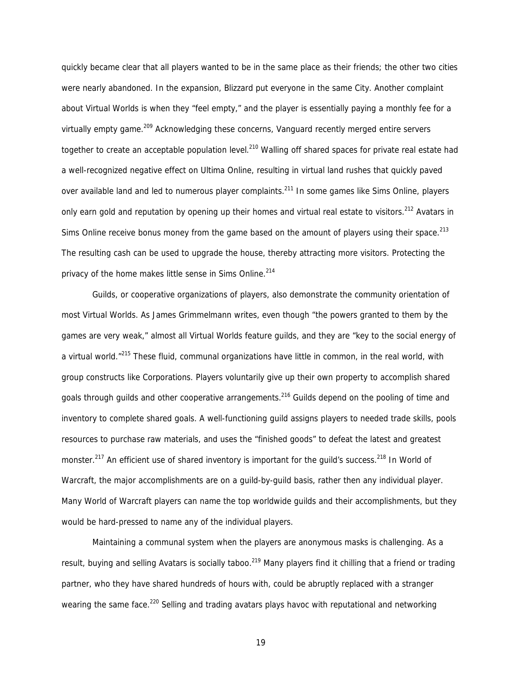quickly became clear that all players wanted to be in the same place as their friends; the other two cities were nearly abandoned. In the expansion, Blizzard put everyone in the same City. Another complaint about Virtual Worlds is when they "feel empty," and the player is essentially paying a monthly fee for a virtually empty game.<sup>209</sup> Acknowledging these concerns, Vanguard recently merged entire servers together to create an acceptable population level.<sup>210</sup> Walling off shared spaces for private real estate had a well-recognized negative effect on Ultima Online, resulting in virtual land rushes that quickly paved over available land and led to numerous player complaints.<sup>211</sup> In some games like Sims Online, players only earn gold and reputation by opening up their homes and virtual real estate to visitors.<sup>212</sup> Avatars in Sims Online receive bonus money from the game based on the amount of players using their space. $2^{13}$ The resulting cash can be used to upgrade the house, thereby attracting more visitors. Protecting the privacy of the home makes little sense in Sims Online.<sup>214</sup>

Guilds, or cooperative organizations of players, also demonstrate the community orientation of most Virtual Worlds. As James Grimmelmann writes, even though "the powers granted to them by the games are very weak," almost all Virtual Worlds feature guilds, and they are "key to the social energy of a virtual world.<sup>"215</sup> These fluid, communal organizations have little in common, in the real world, with group constructs like Corporations. Players voluntarily give up their own property to accomplish shared goals through guilds and other cooperative arrangements.<sup>216</sup> Guilds depend on the pooling of time and inventory to complete shared goals. A well-functioning guild assigns players to needed trade skills, pools resources to purchase raw materials, and uses the "finished goods" to defeat the latest and greatest monster.<sup>217</sup> An efficient use of shared inventory is important for the quild's success.<sup>218</sup> In World of Warcraft, the major accomplishments are on a guild-by-guild basis, rather then any individual player. Many World of Warcraft players can name the top worldwide guilds and their accomplishments, but they would be hard-pressed to name any of the individual players.

Maintaining a communal system when the players are anonymous masks is challenging. As a result, buying and selling Avatars is socially taboo.<sup>219</sup> Many players find it chilling that a friend or trading partner, who they have shared hundreds of hours with, could be abruptly replaced with a stranger wearing the same face.<sup>220</sup> Selling and trading avatars plays havoc with reputational and networking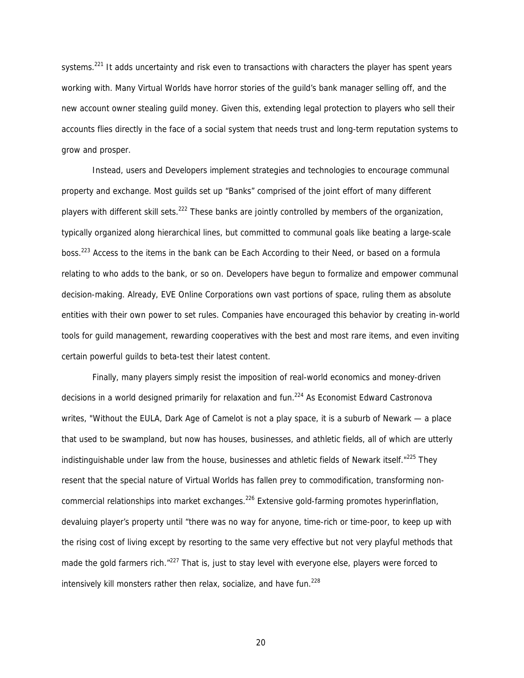systems.<sup>221</sup> It adds uncertainty and risk even to transactions with characters the player has spent years working with. Many Virtual Worlds have horror stories of the guild's bank manager selling off, and the new account owner stealing guild money. Given this, extending legal protection to players who sell their accounts flies directly in the face of a social system that needs trust and long-term reputation systems to grow and prosper.

Instead, users and Developers implement strategies and technologies to encourage communal property and exchange. Most guilds set up "Banks" comprised of the joint effort of many different players with different skill sets.<sup>222</sup> These banks are jointly controlled by members of the organization, typically organized along hierarchical lines, but committed to communal goals like beating a large-scale boss.223 Access to the items in the bank can be Each According to their Need, or based on a formula relating to who adds to the bank, or so on. Developers have begun to formalize and empower communal decision-making. Already, EVE Online Corporations own vast portions of space, ruling them as absolute entities with their own power to set rules. Companies have encouraged this behavior by creating in-world tools for guild management, rewarding cooperatives with the best and most rare items, and even inviting certain powerful guilds to beta-test their latest content.

Finally, many players simply resist the imposition of real-world economics and money-driven decisions in a world designed primarily for relaxation and fun.<sup>224</sup> As Economist Edward Castronova writes, "Without the EULA, Dark Age of Camelot is not a play space, it is a suburb of Newark — a place that used to be swampland, but now has houses, businesses, and athletic fields, all of which are utterly indistinguishable under law from the house, businesses and athletic fields of Newark itself."<sup>225</sup> They resent that the special nature of Virtual Worlds has fallen prey to commodification, transforming noncommercial relationships into market exchanges.<sup>226</sup> Extensive gold-farming promotes hyperinflation, devaluing player's property until "there was no way for anyone, time-rich or time-poor, to keep up with the rising cost of living except by resorting to the same very effective but not very playful methods that made the gold farmers rich."<sup>227</sup> That is, just to stay level with everyone else, players were forced to intensively kill monsters rather then relax, socialize, and have fun.<sup>228</sup>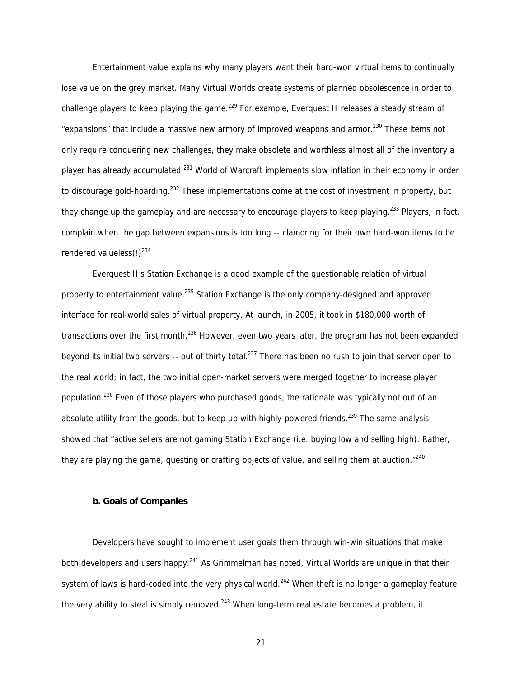Entertainment value explains why many players want their hard-won virtual items to continually lose value on the grey market. Many Virtual Worlds create systems of planned obsolescence in order to challenge players to keep playing the game.<sup>229</sup> For example, Everguest II releases a steady stream of "expansions" that include a massive new armory of improved weapons and armor.<sup>230</sup> These items not only require conquering new challenges, they make obsolete and worthless almost all of the inventory a player has already accumulated.<sup>231</sup> World of Warcraft implements slow inflation in their economy in order to discourage gold-hoarding.<sup>232</sup> These implementations come at the cost of investment in property, but they change up the gameplay and are necessary to encourage players to keep playing.<sup>233</sup> Players, in fact, complain when the gap between expansions is too long -- clamoring for their own hard-won items to be rendered valueless $(!)^{234}$ 

Everquest II's Station Exchange is a good example of the questionable relation of virtual property to entertainment value.<sup>235</sup> Station Exchange is the only company-designed and approved interface for real-world sales of virtual property. At launch, in 2005, it took in \$180,000 worth of transactions over the first month.<sup>236</sup> However, even two years later, the program has not been expanded beyond its initial two servers -- out of thirty total.<sup>237</sup> There has been no rush to join that server open to the real world; in fact, the two initial open-market servers were merged together to increase player population.<sup>238</sup> Even of those players who purchased goods, the rationale was typically not out of an absolute utility from the goods, but to keep up with highly-powered friends.<sup>239</sup> The same analysis showed that "active sellers are not gaming Station Exchange (i.e. buying low and selling high). Rather, they are playing the game, questing or crafting objects of value, and selling them at auction. $n^{240}$ 

# **b. Goals of Companies**

Developers have sought to implement user goals them through win-win situations that make both developers and users happy.<sup>241</sup> As Grimmelman has noted, Virtual Worlds are unique in that their system of laws is hard-coded into the very physical world.<sup>242</sup> When theft is no longer a gameplay feature, the very ability to steal is simply removed.<sup>243</sup> When long-term real estate becomes a problem, it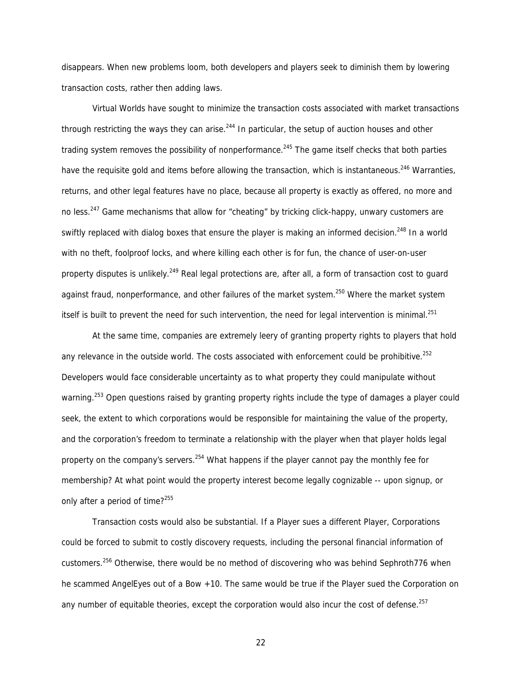disappears. When new problems loom, both developers and players seek to diminish them by lowering transaction costs, rather then adding laws.

Virtual Worlds have sought to minimize the transaction costs associated with market transactions through restricting the ways they can arise.<sup>244</sup> In particular, the setup of auction houses and other trading system removes the possibility of nonperformance.<sup>245</sup> The game itself checks that both parties have the requisite gold and items before allowing the transaction, which is instantaneous.<sup>246</sup> Warranties. returns, and other legal features have no place, because all property is exactly as offered, no more and no less.<sup>247</sup> Game mechanisms that allow for "cheating" by tricking click-happy, unwary customers are swiftly replaced with dialog boxes that ensure the player is making an informed decision.<sup>248</sup> In a world with no theft, foolproof locks, and where killing each other is for fun, the chance of user-on-user property disputes is unlikely.<sup>249</sup> Real legal protections are, after all, a form of transaction cost to quard against fraud, nonperformance, and other failures of the market system.<sup>250</sup> Where the market system itself is built to prevent the need for such intervention, the need for legal intervention is minimal.<sup>251</sup>

At the same time, companies are extremely leery of granting property rights to players that hold any relevance in the outside world. The costs associated with enforcement could be prohibitive.<sup>252</sup> Developers would face considerable uncertainty as to what property they could manipulate without warning.<sup>253</sup> Open questions raised by granting property rights include the type of damages a player could seek, the extent to which corporations would be responsible for maintaining the value of the property, and the corporation's freedom to terminate a relationship with the player when that player holds legal property on the company's servers.<sup>254</sup> What happens if the player cannot pay the monthly fee for membership? At what point would the property interest become legally cognizable -- upon signup, or only after a period of time?<sup>255</sup>

Transaction costs would also be substantial. If a Player sues a different Player, Corporations could be forced to submit to costly discovery requests, including the personal financial information of customers.256 Otherwise, there would be no method of discovering who was behind Sephroth776 when he scammed AngelEyes out of a Bow +10. The same would be true if the Player sued the Corporation on any number of equitable theories, except the corporation would also incur the cost of defense.<sup>257</sup>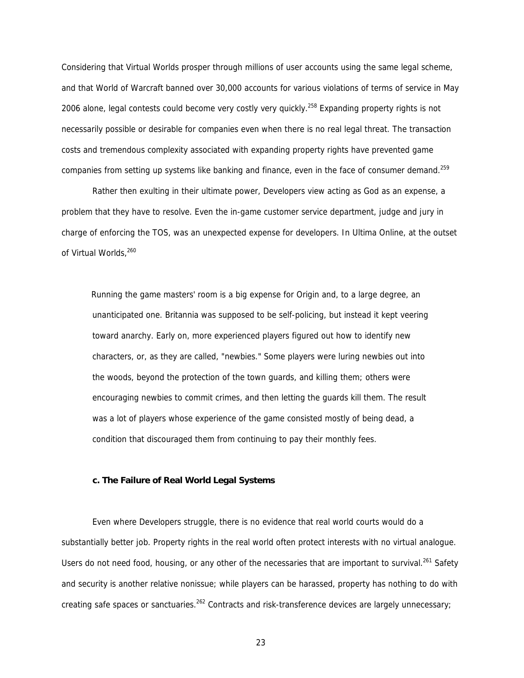Considering that Virtual Worlds prosper through millions of user accounts using the same legal scheme, and that World of Warcraft banned over 30,000 accounts for various violations of terms of service in May 2006 alone, legal contests could become very costly very quickly.<sup>258</sup> Expanding property rights is not necessarily possible or desirable for companies even when there is no real legal threat. The transaction costs and tremendous complexity associated with expanding property rights have prevented game companies from setting up systems like banking and finance, even in the face of consumer demand.<sup>259</sup>

Rather then exulting in their ultimate power, Developers view acting as God as an expense, a problem that they have to resolve. Even the in-game customer service department, judge and jury in charge of enforcing the TOS, was an unexpected expense for developers. In Ultima Online, at the outset of Virtual Worlds, 260

Running the game masters' room is a big expense for Origin and, to a large degree, an unanticipated one. Britannia was supposed to be self-policing, but instead it kept veering toward anarchy. Early on, more experienced players figured out how to identify new characters, or, as they are called, "newbies." Some players were luring newbies out into the woods, beyond the protection of the town guards, and killing them; others were encouraging newbies to commit crimes, and then letting the guards kill them. The result was a lot of players whose experience of the game consisted mostly of being dead, a condition that discouraged them from continuing to pay their monthly fees.

# **c. The Failure of Real World Legal Systems**

Even where Developers struggle, there is no evidence that real world courts would do a substantially better job. Property rights in the real world often protect interests with no virtual analogue. Users do not need food, housing, or any other of the necessaries that are important to survival.<sup>261</sup> Safety and security is another relative nonissue; while players can be harassed, property has nothing to do with creating safe spaces or sanctuaries.<sup>262</sup> Contracts and risk-transference devices are largely unnecessary;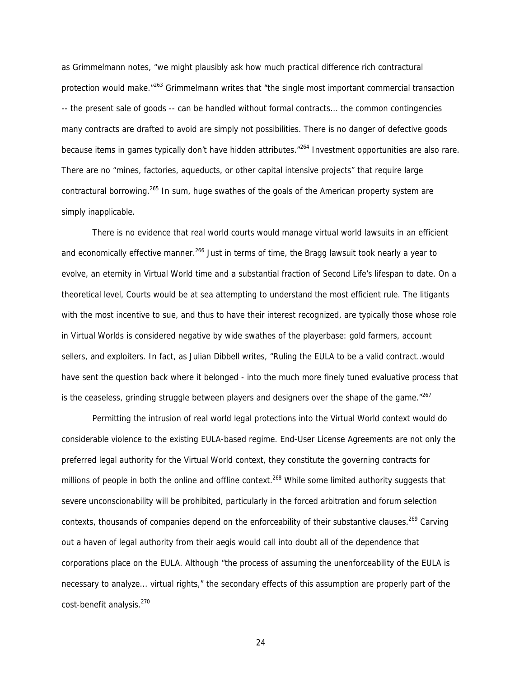as Grimmelmann notes, "we might plausibly ask how much practical difference rich contractural protection would make.<sup>"263</sup> Grimmelmann writes that "the single most important commercial transaction -- the present sale of goods -- can be handled without formal contracts... the common contingencies many contracts are drafted to avoid are simply not possibilities. There is no danger of defective goods because items in games typically don't have hidden attributes.<sup>"264</sup> Investment opportunities are also rare. There are no "mines, factories, aqueducts, or other capital intensive projects" that require large contractural borrowing.<sup>265</sup> In sum, huge swathes of the goals of the American property system are simply inapplicable.

There is no evidence that real world courts would manage virtual world lawsuits in an efficient and economically effective manner.<sup>266</sup> Just in terms of time, the Bragg lawsuit took nearly a year to evolve, an eternity in Virtual World time and a substantial fraction of Second Life's lifespan to date. On a theoretical level, Courts would be at sea attempting to understand the most efficient rule. The litigants with the most incentive to sue, and thus to have their interest recognized, are typically those whose role in Virtual Worlds is considered negative by wide swathes of the playerbase: gold farmers, account sellers, and exploiters. In fact, as Julian Dibbell writes, "Ruling the EULA to be a valid contract..would have sent the question back where it belonged - into the much more finely tuned evaluative process that is the ceaseless, grinding struggle between players and designers over the shape of the game. $"267$ 

Permitting the intrusion of real world legal protections into the Virtual World context would do considerable violence to the existing EULA-based regime. End-User License Agreements are not only the preferred legal authority for the Virtual World context, they constitute the governing contracts for millions of people in both the online and offline context.<sup>268</sup> While some limited authority suggests that severe unconscionability will be prohibited, particularly in the forced arbitration and forum selection contexts, thousands of companies depend on the enforceability of their substantive clauses.<sup>269</sup> Carving out a haven of legal authority from their aegis would call into doubt all of the dependence that corporations place on the EULA. Although "the process of assuming the unenforceability of the EULA is necessary to analyze... virtual rights," the secondary effects of this assumption are properly part of the cost-benefit analysis.<sup>270</sup>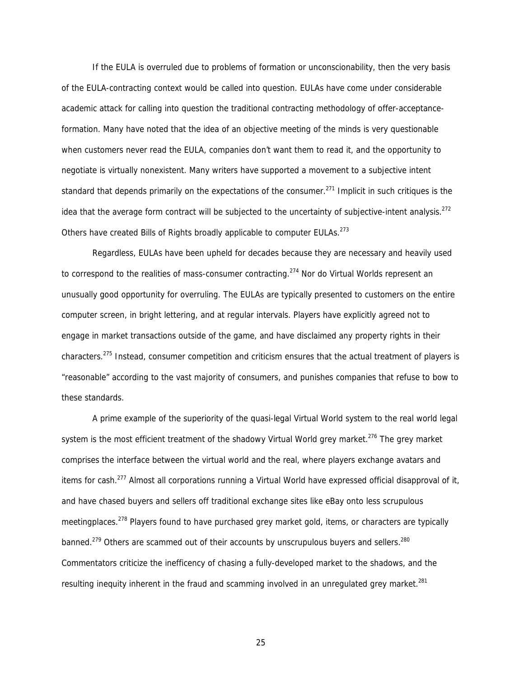If the EULA is overruled due to problems of formation or unconscionability, then the very basis of the EULA-contracting context would be called into question. EULAs have come under considerable academic attack for calling into question the traditional contracting methodology of offer-acceptanceformation. Many have noted that the idea of an objective meeting of the minds is very questionable when customers never read the EULA, companies don't want them to read it, and the opportunity to negotiate is virtually nonexistent. Many writers have supported a movement to a subjective intent standard that depends primarily on the expectations of the consumer.<sup>271</sup> Implicit in such critiques is the idea that the average form contract will be subjected to the uncertainty of subjective-intent analysis.<sup>272</sup> Others have created Bills of Rights broadly applicable to computer EULAs.<sup>273</sup>

Regardless, EULAs have been upheld for decades because they are necessary and heavily used to correspond to the realities of mass-consumer contracting.<sup>274</sup> Nor do Virtual Worlds represent an unusually good opportunity for overruling. The EULAs are typically presented to customers on the entire computer screen, in bright lettering, and at regular intervals. Players have explicitly agreed not to engage in market transactions outside of the game, and have disclaimed any property rights in their characters.275 Instead, consumer competition and criticism ensures that the actual treatment of players is "reasonable" according to the vast majority of consumers, and punishes companies that refuse to bow to these standards.

A prime example of the superiority of the quasi-legal Virtual World system to the real world legal system is the most efficient treatment of the shadowy Virtual World grey market.<sup>276</sup> The grey market comprises the interface between the virtual world and the real, where players exchange avatars and items for cash.<sup>277</sup> Almost all corporations running a Virtual World have expressed official disapproval of it, and have chased buyers and sellers off traditional exchange sites like eBay onto less scrupulous meetingplaces.<sup>278</sup> Players found to have purchased grey market gold, items, or characters are typically banned.<sup>279</sup> Others are scammed out of their accounts by unscrupulous buyers and sellers.<sup>280</sup> Commentators criticize the inefficency of chasing a fully-developed market to the shadows, and the resulting inequity inherent in the fraud and scamming involved in an unrequlated grey market.<sup>281</sup>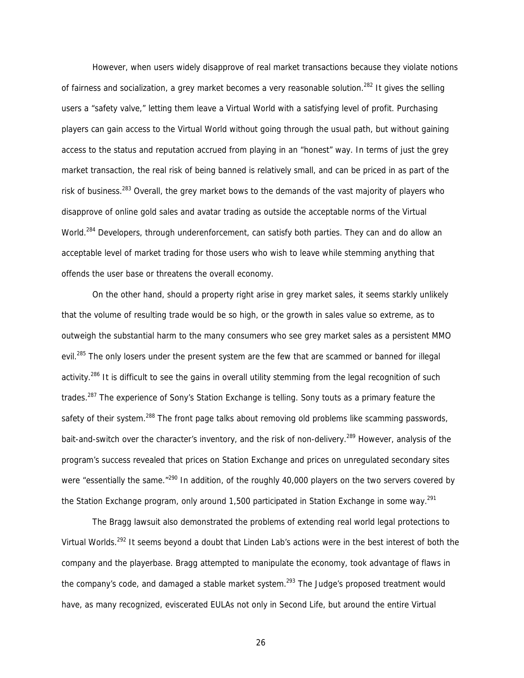However, when users widely disapprove of real market transactions because they violate notions of fairness and socialization, a grey market becomes a very reasonable solution.<sup>282</sup> It gives the selling users a "safety valve," letting them leave a Virtual World with a satisfying level of profit. Purchasing players can gain access to the Virtual World without going through the usual path, but without gaining access to the status and reputation accrued from playing in an "honest" way. In terms of just the grey market transaction, the real risk of being banned is relatively small, and can be priced in as part of the risk of business.<sup>283</sup> Overall, the grey market bows to the demands of the vast majority of players who disapprove of online gold sales and avatar trading as outside the acceptable norms of the Virtual World.<sup>284</sup> Developers, through underenforcement, can satisfy both parties. They can and do allow an acceptable level of market trading for those users who wish to leave while stemming anything that offends the user base or threatens the overall economy.

On the other hand, should a property right arise in grey market sales, it seems starkly unlikely that the volume of resulting trade would be so high, or the growth in sales value so extreme, as to outweigh the substantial harm to the many consumers who see grey market sales as a persistent MMO evil.<sup>285</sup> The only losers under the present system are the few that are scammed or banned for illegal activity.<sup>286</sup> It is difficult to see the gains in overall utility stemming from the legal recognition of such trades.<sup>287</sup> The experience of Sony's Station Exchange is telling. Sony touts as a primary feature the safety of their system.<sup>288</sup> The front page talks about removing old problems like scamming passwords, bait-and-switch over the character's inventory, and the risk of non-delivery.<sup>289</sup> However, analysis of the program's success revealed that prices on Station Exchange and prices on unregulated secondary sites were "essentially the same."<sup>290</sup> In addition, of the roughly 40,000 players on the two servers covered by the Station Exchange program, only around 1,500 participated in Station Exchange in some way.<sup>291</sup>

 The Bragg lawsuit also demonstrated the problems of extending real world legal protections to Virtual Worlds.<sup>292</sup> It seems beyond a doubt that Linden Lab's actions were in the best interest of both the company and the playerbase. Bragg attempted to manipulate the economy, took advantage of flaws in the company's code, and damaged a stable market system.<sup>293</sup> The Judge's proposed treatment would have, as many recognized, eviscerated EULAs not only in Second Life, but around the entire Virtual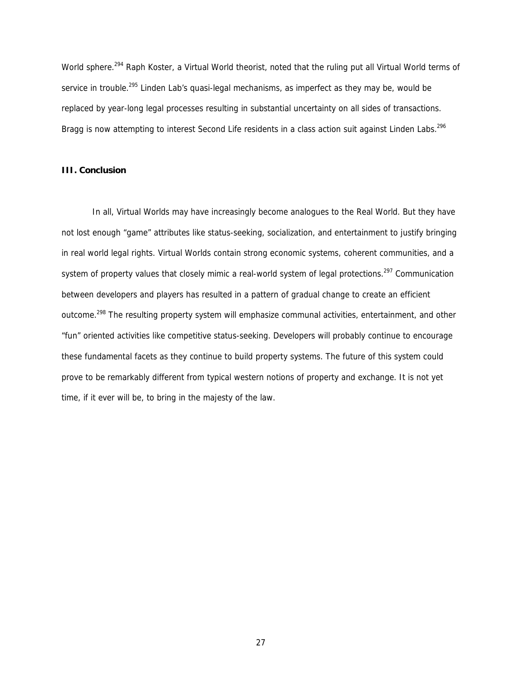World sphere.<sup>294</sup> Raph Koster, a Virtual World theorist, noted that the ruling put all Virtual World terms of service in trouble.<sup>295</sup> Linden Lab's quasi-legal mechanisms, as imperfect as they may be, would be replaced by year-long legal processes resulting in substantial uncertainty on all sides of transactions. Bragg is now attempting to interest Second Life residents in a class action suit against Linden Labs.<sup>296</sup>

# **III. Conclusion**

In all, Virtual Worlds may have increasingly become analogues to the Real World. But they have not lost enough "game" attributes like status-seeking, socialization, and entertainment to justify bringing in real world legal rights. Virtual Worlds contain strong economic systems, coherent communities, and a system of property values that closely mimic a real-world system of legal protections.<sup>297</sup> Communication between developers and players has resulted in a pattern of gradual change to create an efficient outcome.<sup>298</sup> The resulting property system will emphasize communal activities, entertainment, and other "fun" oriented activities like competitive status-seeking. Developers will probably continue to encourage these fundamental facets as they continue to build property systems. The future of this system could prove to be remarkably different from typical western notions of property and exchange. It is not yet time, if it ever will be, to bring in the majesty of the law.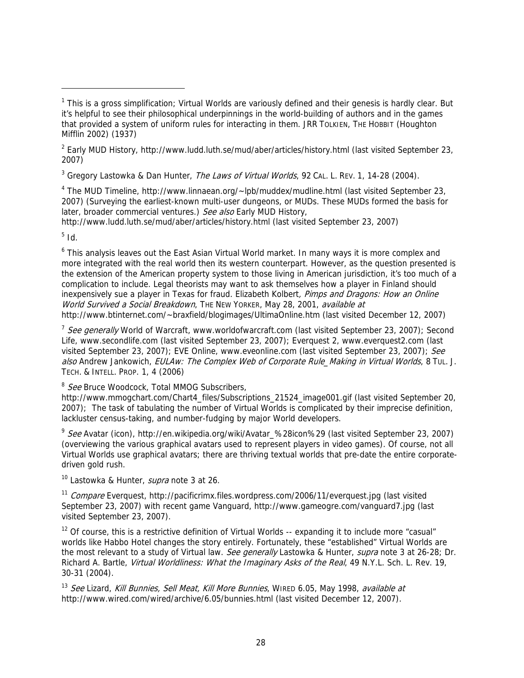<sup>3</sup> Gregory Lastowka & Dan Hunter, *The Laws of Virtual Worlds*, 92 CAL. L. REv. 1, 14-28 (2004).

<sup>4</sup> The MUD Timeline, http://www.linnaean.org/~lpb/muddex/mudline.html (last visited September 23, 2007) (Surveying the earliest-known multi-user dungeons, or MUDs. These MUDs formed the basis for later, broader commercial ventures.) See also Early MUD History,

http://www.ludd.luth.se/mud/aber/articles/history.html (last visited September 23, 2007)

 $^5$  Id.

-

<sup>6</sup> This analysis leaves out the East Asian Virtual World market. In many ways it is more complex and more integrated with the real world then its western counterpart. However, as the question presented is the extension of the American property system to those living in American jurisdiction, it's too much of a complication to include. Legal theorists may want to ask themselves how a player in Finland should inexpensively sue a player in Texas for fraud. Elizabeth Kolbert, Pimps and Dragons: How an Online World Survived a Social Breakdown, THE NEW YORKER, May 28, 2001, available at http://www.btinternet.com/~braxfield/blogimages/UltimaOnline.htm (last visited December 12, 2007)

<sup>7</sup> See aenerally World of Warcraft, www.worldofwarcraft.com (last visited September 23, 2007); Second Life, www.secondlife.com (last visited September 23, 2007); Everquest 2, www.everquest2.com (last visited September 23, 2007); EVE Online, www.eveonline.com (last visited September 23, 2007); See also Andrew Jankowich, EULAw: The Complex Web of Corporate Rule\_Making in Virtual Worlds, 8 TuL. J. TECH. & INTELL. PROP. 1, 4 (2006)

<sup>8</sup> See Bruce Woodcock, Total MMOG Subscribers,

http://www.mmogchart.com/Chart4\_files/Subscriptions\_21524\_image001.gif (last visited September 20, 2007); The task of tabulating the number of Virtual Worlds is complicated by their imprecise definition, lackluster census-taking, and number-fudging by major World developers.

<sup>9</sup> See Avatar (icon), http://en.wikipedia.org/wiki/Avatar\_%28icon%29 (last visited September 23, 2007) (overviewing the various graphical avatars used to represent players in video games). Of course, not all Virtual Worlds use graphical avatars; there are thriving textual worlds that pre-date the entire corporatedriven gold rush.

<sup>10</sup> Lastowka & Hunter, *supra* note 3 at 26.

<sup>11</sup> Compare Everquest, http://pacificrimx.files.wordpress.com/2006/11/everquest.jpg (last visited September 23, 2007) with recent game Vanguard, http://www.gameogre.com/vanguard7.jpg (last visited September 23, 2007).

 $12$  Of course, this is a restrictive definition of Virtual Worlds -- expanding it to include more "casual" worlds like Habbo Hotel changes the story entirely. Fortunately, these "established" Virtual Worlds are the most relevant to a study of Virtual law. See generally Lastowka & Hunter, supra note 3 at 26-28; Dr. Richard A. Bartle, *Virtual Worldliness: What the Imaginary Asks of the Real*, 49 N.Y.L. Sch. L. Rev. 19, 30-31 (2004).

<sup>13</sup> See Lizard, Kill Bunnies, Sell Meat, Kill More Bunnies, WIRED 6.05, May 1998, available at http://www.wired.com/wired/archive/6.05/bunnies.html (last visited December 12, 2007).

<sup>&</sup>lt;sup>1</sup> This is a gross simplification; Virtual Worlds are variously defined and their genesis is hardly clear. But it's helpful to see their philosophical underpinnings in the world-building of authors and in the games that provided a system of uniform rules for interacting in them. JRR TOLKIEN, THE HOBBIT (Houghton Mifflin 2002) (1937)

<sup>&</sup>lt;sup>2</sup> Early MUD History, http://www.ludd.luth.se/mud/aber/articles/history.html (last visited September 23, 2007)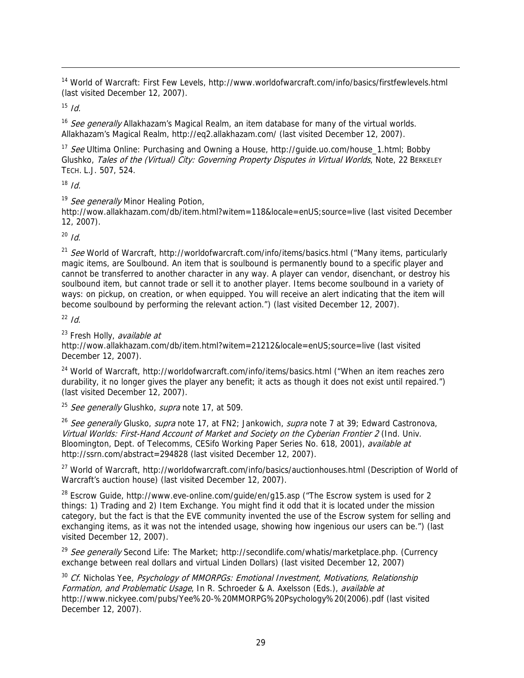<sup>14</sup> World of Warcraft: First Few Levels, http://www.worldofwarcraft.com/info/basics/firstfewlevels.html (last visited December 12, 2007).

 $15$  *Id.* 

-

<sup>16</sup> See generally Allakhazam's Magical Realm, an item database for many of the virtual worlds. Allakhazam's Magical Realm, http://eq2.allakhazam.com/ (last visited December 12, 2007).

<sup>17</sup> See Ultima Online: Purchasing and Owning a House, http://quide.uo.com/house\_1.html; Bobby Glushko, Tales of the (Virtual) City: Governing Property Disputes in Virtual Worlds, Note, 22 BERKELEY TECH. L.J. 507, 524.

 $18$  *Id.* 

<sup>19</sup> See generally Minor Healing Potion.

http://wow.allakhazam.com/db/item.html?witem=118&locale=enUS;source=live (last visited December 12, 2007).

 $^{20}$  *Id.* 

<sup>21</sup> See World of Warcraft, http://worldofwarcraft.com/info/items/basics.html ("Many items, particularly magic items, are Soulbound. An item that is soulbound is permanently bound to a specific player and cannot be transferred to another character in any way. A player can vendor, disenchant, or destroy his soulbound item, but cannot trade or sell it to another player. Items become soulbound in a variety of ways: on pickup, on creation, or when equipped. You will receive an alert indicating that the item will become soulbound by performing the relevant action.") (last visited December 12, 2007).

 $^{22}$  Id.

 $23$  Fresh Holly, *available at* 

http://wow.allakhazam.com/db/item.html?witem=21212&locale=enUS;source=live (last visited December 12, 2007).

<sup>24</sup> World of Warcraft, http://worldofwarcraft.com/info/items/basics.html ("When an item reaches zero durability, it no longer gives the player any benefit; it acts as though it does not exist until repaired.") (last visited December 12, 2007).

<sup>25</sup> See generally Glushko, supra note 17, at 509.

<sup>26</sup> See generally Glusko, supra note 17, at FN2; Jankowich, supra note 7 at 39; Edward Castronova, Virtual Worlds: First-Hand Account of Market and Society on the Cyberian Frontier 2 (Ind. Univ. Bloomington, Dept. of Telecomms, CESifo Working Paper Series No. 618, 2001), available at http://ssrn.com/abstract=294828 (last visited December 12, 2007).

<sup>27</sup> World of Warcraft, http://worldofwarcraft.com/info/basics/auctionhouses.html (Description of World of Warcraft's auction house) (last visited December 12, 2007).

 $28$  Escrow Guide, http://www.eve-online.com/guide/en/g15.asp ("The Escrow system is used for 2 things: 1) Trading and 2) Item Exchange. You might find it odd that it is located under the mission category, but the fact is that the EVE community invented the use of the Escrow system for selling and exchanging items, as it was not the intended usage, showing how ingenious our users can be.") (last visited December 12, 2007).

<sup>29</sup> See generally Second Life: The Market; http://secondlife.com/whatis/marketplace.php. (Currency exchange between real dollars and virtual Linden Dollars) (last visited December 12, 2007)

<sup>30</sup> Cf. Nicholas Yee, Psychology of MMORPGs: Emotional Investment, Motivations, Relationship Formation, and Problematic Usage, In R. Schroeder & A. Axelsson (Eds.), available at http://www.nickyee.com/pubs/Yee%20-%20MMORPG%20Psychology%20(2006).pdf (last visited December 12, 2007).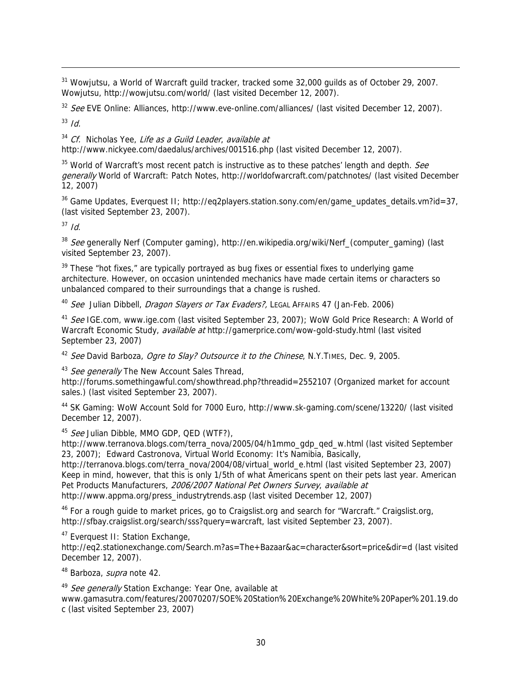<sup>31</sup> Wowjutsu, a World of Warcraft guild tracker, tracked some 32,000 guilds as of October 29, 2007. Wowjutsu, http://wowjutsu.com/world/ (last visited December 12, 2007).

<sup>32</sup> See EVE Online: Alliances, http://www.eve-online.com/alliances/ (last visited December 12, 2007).

 $33$  Id.

-

 $34$  Cf. Nicholas Yee, Life as a Guild Leader, available at http://www.nickyee.com/daedalus/archives/001516.php (last visited December 12, 2007).

 $35$  World of Warcraft's most recent patch is instructive as to these patches' length and depth. See generally World of Warcraft: Patch Notes, http://worldofwarcraft.com/patchnotes/ (last visited December 12, 2007)

 $36$  Game Updates, Everquest II; http://eq2players.station.sony.com/en/game\_updates\_details.vm?id=37, (last visited September 23, 2007).

 $37$  Id.

 $38$  See generally Nerf (Computer gaming), http://en.wikipedia.org/wiki/Nerf\_(computer\_gaming) (last visited September 23, 2007).

 $39$  These "hot fixes," are typically portrayed as bug fixes or essential fixes to underlying game architecture. However, on occasion unintended mechanics have made certain items or characters so unbalanced compared to their surroundings that a change is rushed.

<sup>40</sup> See Julian Dibbell, *Dragon Slayers or Tax Evaders?*, LEGAL AFFAIRS 47 (Jan-Feb. 2006)

<sup>41</sup> See IGE.com, www.ige.com (last visited September 23, 2007); WoW Gold Price Research: A World of Warcraft Economic Study, *available at* http://gamerprice.com/wow-gold-study.html (last visited September 23, 2007)

<sup>42</sup> See David Barboza, *Ogre to Slay? Outsource it to the Chinese*, N.Y.TIMES, Dec. 9, 2005.

<sup>43</sup> See generally The New Account Sales Thread,

http://forums.somethingawful.com/showthread.php?threadid=2552107 (Organized market for account sales.) (last visited September 23, 2007).

44 SK Gaming: WoW Account Sold for 7000 Euro, http://www.sk-gaming.com/scene/13220/ (last visited December 12, 2007).

45 See Julian Dibble, MMO GDP, QED (WTF?),

http://www.terranova.blogs.com/terra\_nova/2005/04/h1mmo\_gdp\_qed\_w.html (last visited September 23, 2007); Edward Castronova, Virtual World Economy: It's Namibia, Basically,

http://terranova.blogs.com/terra\_nova/2004/08/virtual\_world\_e.html (last visited September 23, 2007) Keep in mind, however, that this is only 1/5th of what Americans spent on their pets last year. American Pet Products Manufacturers, 2006/2007 National Pet Owners Survey, available at http://www.appma.org/press\_industrytrends.asp (last visited December 12, 2007)

<sup>46</sup> For a rough guide to market prices, go to Craigslist.org and search for "Warcraft." Craigslist.org, http://sfbay.craigslist.org/search/sss?query=warcraft, last visited September 23, 2007).

<sup>47</sup> Everquest II: Station Exchange,

http://eq2.stationexchange.com/Search.m?as=The+Bazaar&ac=character&sort=price&dir=d (last visited December 12, 2007).

<sup>48</sup> Barboza, *supra* note 42.

49 See generally Station Exchange: Year One, available at www.gamasutra.com/features/20070207/SOE%20Station%20Exchange%20White%20Paper%201.19.do c (last visited September 23, 2007)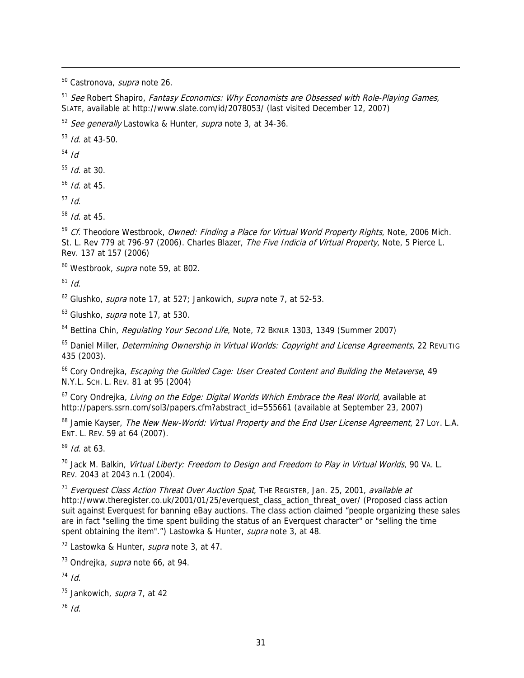<sup>50</sup> Castronova, *supra* note 26.

 $51$  See Robert Shapiro, Fantasy Economics: Why Economists are Obsessed with Role-Playing Games, SLATE, available at http://www.slate.com/id/2078053/ (last visited December 12, 2007)

<sup>52</sup> See generally Lastowka & Hunter, supra note 3, at 34-36.

 $53$  *Id.* at 43-50.

 $54$  Id

-

 $55$  *Id.* at 30.

 $56$  *Id.* at 45.

 $57$  Id.

 $58$  *Id.* at 45.

<sup>59</sup> Cf. Theodore Westbrook, *Owned: Finding a Place for Virtual World Property Rights*, Note, 2006 Mich. St. L. Rev 779 at 796-97 (2006). Charles Blazer, The Five Indicia of Virtual Property. Note, 5 Pierce L. Rev. 137 at 157 (2006)

<sup>60</sup> Westbrook, *supra* note 59, at 802.

 $61$  Id.

 $62$  Glushko, *supra* note 17, at 527; Jankowich, *supra* note 7, at 52-53.

<sup>63</sup> Glushko, *supra* note 17, at 530.

<sup>64</sup> Bettina Chin, Regulating Your Second Life, Note, 72 BKNLR 1303, 1349 (Summer 2007)

<sup>65</sup> Daniel Miller, *Determining Ownership in Virtual Worlds: Copyright and License Agreements*, 22 REVLITIG 435 (2003).

<sup>66</sup> Cory Ondrejka, *Escaping the Guilded Cage: User Created Content and Building the Metaverse*, 49 N.Y.L. SCH. L. REV. 81 at 95 (2004)

 $67$  Cory Ondrejka, *Living on the Edge: Digital Worlds Which Embrace the Real World*, available at http://papers.ssrn.com/sol3/papers.cfm?abstract\_id=555661 (available at September 23, 2007)

<sup>68</sup> Jamie Kayser, The New New-World: Virtual Property and the End User License Agreement, 27 Loy. L.A. ENT. L. REV. 59 at 64 (2007).

 $^{69}$  *Id.* at 63.

<sup>70</sup> Jack M. Balkin, Virtual Liberty: Freedom to Design and Freedom to Play in Virtual Worlds, 90 VA. L. REV. 2043 at 2043 n.1 (2004).

 $11$  Everquest Class Action Threat Over Auction Spat, THE REGISTER, Jan. 25, 2001, available at http://www.theregister.co.uk/2001/01/25/everquest\_class\_action\_threat\_over/ (Proposed class action suit against Everquest for banning eBay auctions. The class action claimed "people organizing these sales are in fact "selling the time spent building the status of an Everquest character" or "selling the time spent obtaining the item".") Lastowka & Hunter, supra note 3, at 48.

 $72$  Lastowka & Hunter, *supra* note 3, at 47.

<sup>73</sup> Ondrejka, *supra* note 66, at 94.

 $74$  Id.

<sup>75</sup> Jankowich, *supra* 7, at 42

 $16$  *Id.*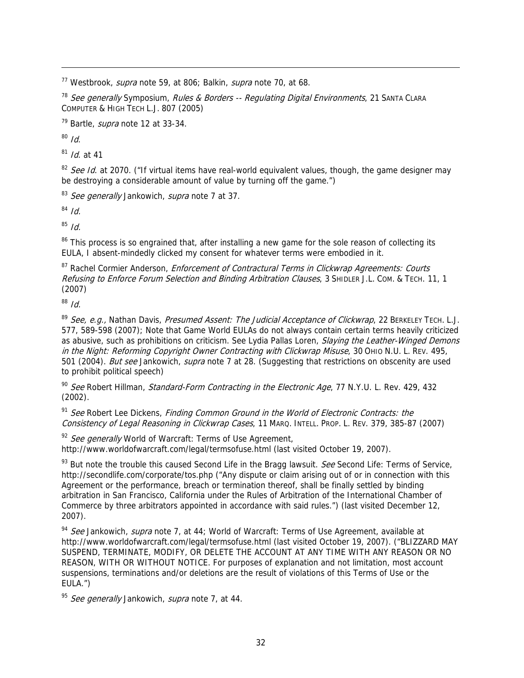$17$  Westbrook, *supra* note 59, at 806; Balkin, *supra* note 70, at 68.

<sup>78</sup> See generally Symposium, Rules & Borders -- Regulating Digital Environments, 21 SANTA CLARA COMPUTER & HIGH TECH L.J. 807 (2005)

 $79$  Bartle, *supra* note 12 at 33-34.

 $80$  Id.

-

 $81$  *Id.* at 41

<sup>82</sup> See Id. at 2070. ("If virtual items have real-world equivalent values, though, the game designer may be destroying a considerable amount of value by turning off the game.")

<sup>83</sup> See generally Jankowich, supra note 7 at 37.

 $84$  Id.

 $85$  *Id.* 

<sup>86</sup> This process is so engrained that, after installing a new game for the sole reason of collecting its EULA, I absent-mindedly clicked my consent for whatever terms were embodied in it.

<sup>87</sup> Rachel Cormier Anderson, Enforcement of Contractural Terms in Clickwrap Agreements: Courts Refusing to Enforce Forum Selection and Binding Arbitration Clauses, 3 SHIDLER J.L. COM. & TECH. 11, 1 (2007)

 $88$  *Id.* 

89 See, e.g., Nathan Davis, Presumed Assent: The Judicial Acceptance of Clickwrap, 22 BERKELEY TECH. L.J. 577, 589-598 (2007); Note that Game World EULAs do not always contain certain terms heavily criticized as abusive, such as prohibitions on criticism. See Lydia Pallas Loren, Slaying the Leather-Winged Demons in the Night: Reforming Copyright Owner Contracting with Clickwrap Misuse, 30 OHIO N.U. L. REV. 495, 501 (2004). But see Jankowich, supra note 7 at 28. (Suggesting that restrictions on obscenity are used to prohibit political speech)

<sup>90</sup> See Robert Hillman, Standard-Form Contracting in the Electronic Age, 77 N.Y.U. L. Rev. 429, 432 (2002).

<sup>91</sup> See Robert Lee Dickens, *Finding Common Ground in the World of Electronic Contracts: the* Consistency of Legal Reasoning in Clickwrap Cases, 11 MARQ. INTELL. PROP. L. REV. 379, 385-87 (2007)

<sup>92</sup> See generally World of Warcraft: Terms of Use Agreement, http://www.worldofwarcraft.com/legal/termsofuse.html (last visited October 19, 2007).

 $93$  But note the trouble this caused Second Life in the Bragg lawsuit. See Second Life: Terms of Service, http://secondlife.com/corporate/tos.php ("Any dispute or claim arising out of or in connection with this Agreement or the performance, breach or termination thereof, shall be finally settled by binding arbitration in San Francisco, California under the Rules of Arbitration of the International Chamber of Commerce by three arbitrators appointed in accordance with said rules.") (last visited December 12, 2007).

<sup>94</sup> See Jankowich, supra note 7, at 44; World of Warcraft: Terms of Use Agreement, available at http://www.worldofwarcraft.com/legal/termsofuse.html (last visited October 19, 2007). ("BLIZZARD MAY SUSPEND, TERMINATE, MODIFY, OR DELETE THE ACCOUNT AT ANY TIME WITH ANY REASON OR NO REASON, WITH OR WITHOUT NOTICE. For purposes of explanation and not limitation, most account suspensions, terminations and/or deletions are the result of violations of this Terms of Use or the EULA.")

95 See generally Jankowich, supra note 7, at 44.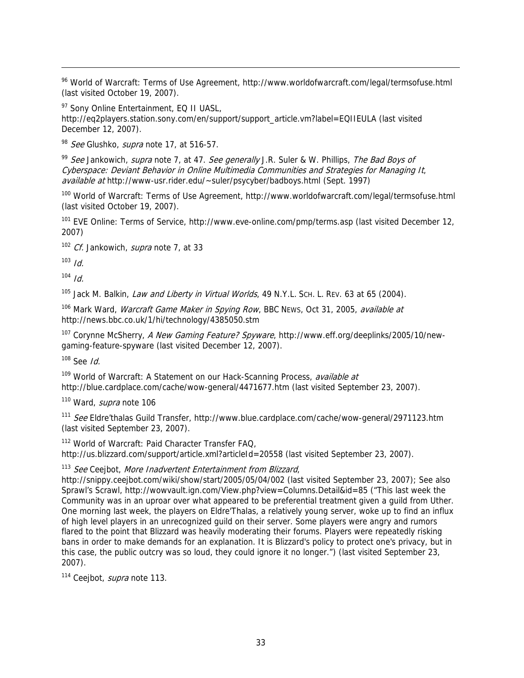96 World of Warcraft: Terms of Use Agreement, http://www.worldofwarcraft.com/legal/termsofuse.html (last visited October 19, 2007).

<sup>97</sup> Sony Online Entertainment, EQ II UASL, http://eq2players.station.sony.com/en/support/support\_article.vm?label=EQIIEULA (last visited December 12, 2007).

98 See Glushko, supra note 17, at 516-57.

 $99$  See Jankowich, supra note 7, at 47. See generally J.R. Suler & W. Phillips, The Bad Boys of Cyberspace: Deviant Behavior in Online Multimedia Communities and Strategies for Managing It, available at http://www-usr.rider.edu/~suler/psycyber/badboys.html (Sept. 1997)

<sup>100</sup> World of Warcraft: Terms of Use Agreement, http://www.worldofwarcraft.com/legal/termsofuse.html (last visited October 19, 2007).

<sup>101</sup> EVE Online: Terms of Service, http://www.eve-online.com/pmp/terms.asp (last visited December 12, 2007)

<sup>102</sup> Cf. Jankowich, *supra* note 7, at 33

 $103$  *Id.* 

-

 $104$  *Id.* 

<sup>105</sup> Jack M. Balkin, *Law and Liberty in Virtual Worlds*, 49 N.Y.L. Sch. L. REV. 63 at 65 (2004).

<sup>106</sup> Mark Ward, Warcraft Game Maker in Spying Row, BBC NEws, Oct 31, 2005, available at http://news.bbc.co.uk/1/hi/technology/4385050.stm

<sup>107</sup> Corynne McSherry, A New Gaming Feature? Spyware, http://www.eff.org/deeplinks/2005/10/newgaming-feature-spyware (last visited December 12, 2007).

 $108$  See Id.

<sup>109</sup> World of Warcraft: A Statement on our Hack-Scanning Process, available at http://blue.cardplace.com/cache/wow-general/4471677.htm (last visited September 23, 2007).

<sup>110</sup> Ward, *supra* note 106

111 See Eldre'thalas Guild Transfer, http://www.blue.cardplace.com/cache/wow-general/2971123.htm (last visited September 23, 2007).

112 World of Warcraft: Paid Character Transfer FAQ, http://us.blizzard.com/support/article.xml?articleId=20558 (last visited September 23, 2007).

<sup>113</sup> See Ceejbot, More Inadvertent Entertainment from Blizzard,

http://snippy.ceejbot.com/wiki/show/start/2005/05/04/002 (last visited September 23, 2007); See also Sprawl's Scrawl, http://wowvault.ign.com/View.php?view=Columns.Detail&id=85 ("This last week the Community was in an uproar over what appeared to be preferential treatment given a guild from Uther. One morning last week, the players on Eldre'Thalas, a relatively young server, woke up to find an influx of high level players in an unrecognized guild on their server. Some players were angry and rumors flared to the point that Blizzard was heavily moderating their forums. Players were repeatedly risking bans in order to make demands for an explanation. It is Blizzard's policy to protect one's privacy, but in this case, the public outcry was so loud, they could ignore it no longer.") (last visited September 23, 2007).

<sup>114</sup> Ceejbot, *supra* note 113.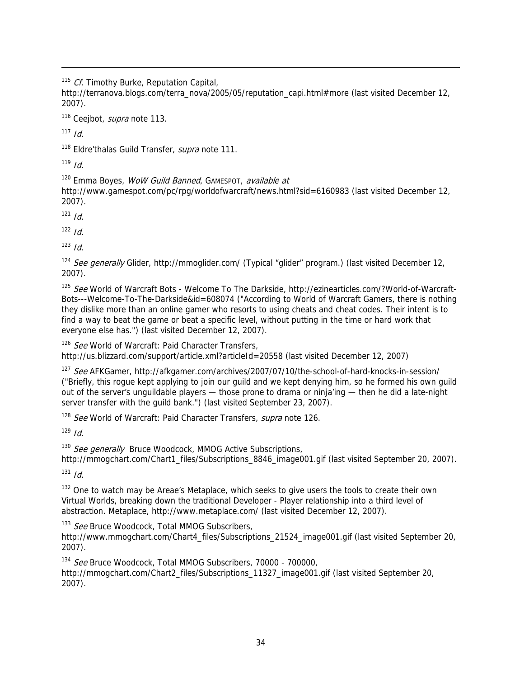$115$  Cf. Timothy Burke, Reputation Capital,

http://terranova.blogs.com/terra\_nova/2005/05/reputation\_capi.html#more (last visited December 12, 2007).

<sup>116</sup> Ceejbot, *supra* note 113.

 $117$  *Id.* 

-

<sup>118</sup> Eldre'thalas Guild Transfer, *supra* note 111.

 $119$  Id.

<sup>120</sup> Emma Boyes, *WoW Guild Banned*, GAMESPOT, *available at* 

http://www.gamespot.com/pc/rpg/worldofwarcraft/news.html?sid=6160983 (last visited December 12, 2007).

 $121$  *Id* 

 $122$  *Id.* 

 $123$  Id.

<sup>124</sup> See generally Glider, http://mmoglider.com/ (Typical "glider" program.) (last visited December 12, 2007).

<sup>125</sup> See World of Warcraft Bots - Welcome To The Darkside, http://ezinearticles.com/?World-of-Warcraft-Bots---Welcome-To-The-Darkside&id=608074 ("According to World of Warcraft Gamers, there is nothing they dislike more than an online gamer who resorts to using cheats and cheat codes. Their intent is to find a way to beat the game or beat a specific level, without putting in the time or hard work that everyone else has.") (last visited December 12, 2007).

<sup>126</sup> See World of Warcraft: Paid Character Transfers,

http://us.blizzard.com/support/article.xml?articleId=20558 (last visited December 12, 2007)

127 See AFKGamer, http://afkgamer.com/archives/2007/07/10/the-school-of-hard-knocks-in-session/ ("Briefly, this rogue kept applying to join our guild and we kept denying him, so he formed his own guild out of the server's unguildable players — those prone to drama or ninja'ing — then he did a late-night server transfer with the guild bank.") (last visited September 23, 2007).

<sup>128</sup> See World of Warcraft: Paid Character Transfers, supra note 126.

 $129$  *Id.* 

<sup>130</sup> See generally Bruce Woodcock, MMOG Active Subscriptions,

http://mmogchart.com/Chart1\_files/Subscriptions\_8846\_image001.gif (last visited September 20, 2007).

 $131$  *Id.* 

<sup>132</sup> One to watch may be Areae's Metaplace, which seeks to give users the tools to create their own Virtual Worlds, breaking down the traditional Developer - Player relationship into a third level of abstraction. Metaplace, http://www.metaplace.com/ (last visited December 12, 2007).

<sup>133</sup> See Bruce Woodcock, Total MMOG Subscribers,

http://www.mmogchart.com/Chart4\_files/Subscriptions\_21524\_image001.gif (last visited September 20, 2007).

<sup>134</sup> See Bruce Woodcock, Total MMOG Subscribers, 70000 - 700000, http://mmogchart.com/Chart2\_files/Subscriptions\_11327\_image001.gif (last visited September 20, 2007).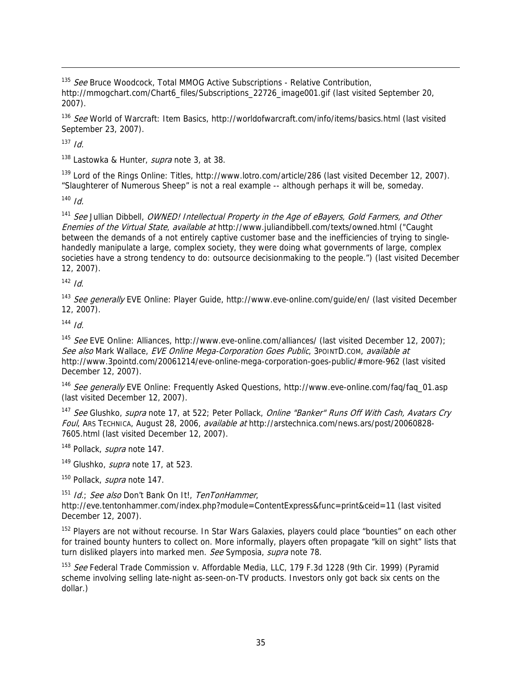<sup>135</sup> See Bruce Woodcock, Total MMOG Active Subscriptions - Relative Contribution, http://mmogchart.com/Chart6\_files/Subscriptions\_22726\_image001.gif (last visited September 20, 2007).

<sup>136</sup> See World of Warcraft: Item Basics, http://worldofwarcraft.com/info/items/basics.html (last visited September 23, 2007).

 $137$  *Id.* 

-

<sup>138</sup> Lastowka & Hunter, *supra* note 3, at 38.

<sup>139</sup> Lord of the Rings Online: Titles, http://www.lotro.com/article/286 (last visited December 12, 2007). "Slaughterer of Numerous Sheep" is not a real example -- although perhaps it will be, someday.

 $140$  *Id* 

<sup>141</sup> See Jullian Dibbell, OWNED! Intellectual Property in the Age of eBayers, Gold Farmers, and Other Enemies of the Virtual State, available at http://www.juliandibbell.com/texts/owned.html ("Caught between the demands of a not entirely captive customer base and the inefficiencies of trying to singlehandedly manipulate a large, complex society, they were doing what governments of large, complex societies have a strong tendency to do: outsource decisionmaking to the people.") (last visited December 12, 2007).

 $142$  *Id.* 

<sup>143</sup> See generally EVE Online: Player Guide, http://www.eve-online.com/guide/en/ (last visited December 12, 2007).

 $144$  *Id.* 

<sup>145</sup> See EVE Online: Alliances, http://www.eve-online.com/alliances/ (last visited December 12, 2007); See also Mark Wallace, EVE Online Mega-Corporation Goes Public, 3POINTD.com, available at http://www.3pointd.com/20061214/eve-online-mega-corporation-goes-public/#more-962 (last visited December 12, 2007).

<sup>146</sup> See generally EVE Online: Frequently Asked Questions, http://www.eve-online.com/faq/faq\_01.asp (last visited December 12, 2007).

<sup>147</sup> See Glushko, supra note 17, at 522; Peter Pollack, Online "Banker" Runs Off With Cash, Avatars Cry Foul, ARS TECHNICA, August 28, 2006, available at http://arstechnica.com/news.ars/post/20060828- 7605.html (last visited December 12, 2007).

<sup>148</sup> Pollack, *supra* note 147.

<sup>149</sup> Glushko, *supra* note 17, at 523.

<sup>150</sup> Pollack, *supra* note 147.

<sup>151</sup> Id.; See also Don't Bank On It!, TenTonHammer,

http://eve.tentonhammer.com/index.php?module=ContentExpress&func=print&ceid=11 (last visited December 12, 2007).

<sup>152</sup> Players are not without recourse. In Star Wars Galaxies, players could place "bounties" on each other for trained bounty hunters to collect on. More informally, players often propagate "kill on sight" lists that turn disliked players into marked men. See Symposia, supra note 78.

<sup>153</sup> See Federal Trade Commission v. Affordable Media, LLC, 179 F.3d 1228 (9th Cir. 1999) (Pyramid scheme involving selling late-night as-seen-on-TV products. Investors only got back six cents on the dollar.)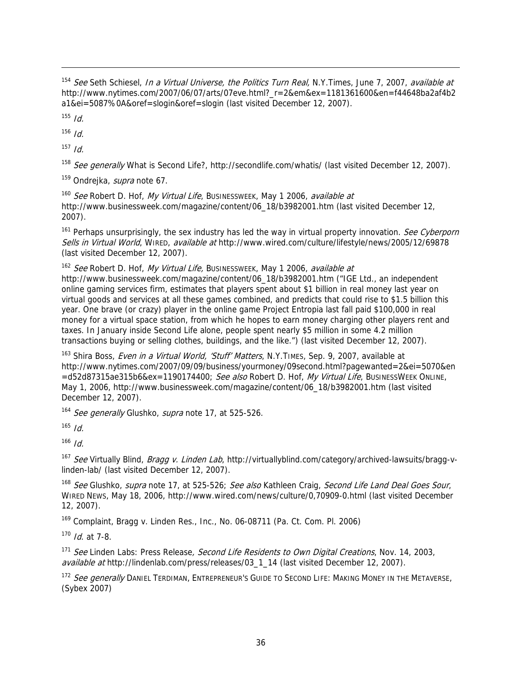<sup>154</sup> See Seth Schiesel, *In a Virtual Universe, the Politics Turn Real*, N.Y.Times, June 7, 2007, *available at* http://www.nytimes.com/2007/06/07/arts/07eve.html?\_r=2&em&ex=1181361600&en=f44648ba2af4b2 a1&ei=5087%0A&oref=slogin&oref=slogin (last visited December 12, 2007).

 $155$  *Id.* 

-

 $156$  *Id.* 

 $157$  *Id.* 

<sup>158</sup> See generally What is Second Life?, http://secondlife.com/whatis/ (last visited December 12, 2007).

<sup>159</sup> Ondreika, *supra* note 67.

<sup>160</sup> See Robert D. Hof, My Virtual Life, Businessweek, May 1 2006, available at http://www.businessweek.com/magazine/content/06\_18/b3982001.htm (last visited December 12, 2007).

<sup>161</sup> Perhaps unsurprisingly, the sex industry has led the way in virtual property innovation. See Cyberporn Sells in Virtual World, WIRED, available at http://www.wired.com/culture/lifestyle/news/2005/12/69878 (last visited December 12, 2007).

<sup>162</sup> See Robert D. Hof, My Virtual Life, Businessweek, May 1 2006, available at http://www.businessweek.com/magazine/content/06\_18/b3982001.htm ("IGE Ltd., an independent online gaming services firm, estimates that players spent about \$1 billion in real money last year on virtual goods and services at all these games combined, and predicts that could rise to \$1.5 billion this year. One brave (or crazy) player in the online game Project Entropia last fall paid \$100,000 in real money for a virtual space station, from which he hopes to earn money charging other players rent and taxes. In January inside Second Life alone, people spent nearly \$5 million in some 4.2 million transactions buying or selling clothes, buildings, and the like.") (last visited December 12, 2007).

<sup>163</sup> Shira Boss, Even in a Virtual World, 'Stuff' Matters, N.Y.TIMES, Sep. 9, 2007, available at http://www.nytimes.com/2007/09/09/business/yourmoney/09second.html?pagewanted=2&ei=5070&en =d52d87315ae315b6&ex=1190174400; See also Robert D. Hof, My Virtual Life, BusinessWeek OnLine, May 1, 2006, http://www.businessweek.com/magazine/content/06\_18/b3982001.htm (last visited December 12, 2007).

<sup>164</sup> See generally Glushko, supra note 17, at 525-526.

 $165$  Id.

 $166$  *Id.* 

167 See Virtually Blind, Bragg v. Linden Lab, http://virtuallyblind.com/category/archived-lawsuits/bragg-vlinden-lab/ (last visited December 12, 2007).

<sup>168</sup> See Glushko, supra note 17, at 525-526; See also Kathleen Craig, Second Life Land Deal Goes Sour, WIRED NEWS, May 18, 2006, http://www.wired.com/news/culture/0,70909-0.html (last visited December 12, 2007).

 $169$  Complaint, Bragg v. Linden Res., Inc., No. 06-08711 (Pa. Ct. Com. Pl. 2006)

 $170$  *Id.* at 7-8.

<sup>171</sup> See Linden Labs: Press Release, Second Life Residents to Own Digital Creations, Nov. 14, 2003, available at http://lindenlab.com/press/releases/03\_1\_14 (last visited December 12, 2007).

<sup>172</sup> See generally Daniel Terdiman, Entrepreneur's Guide to Second Life: Making Money in the Metaverse, (Sybex 2007)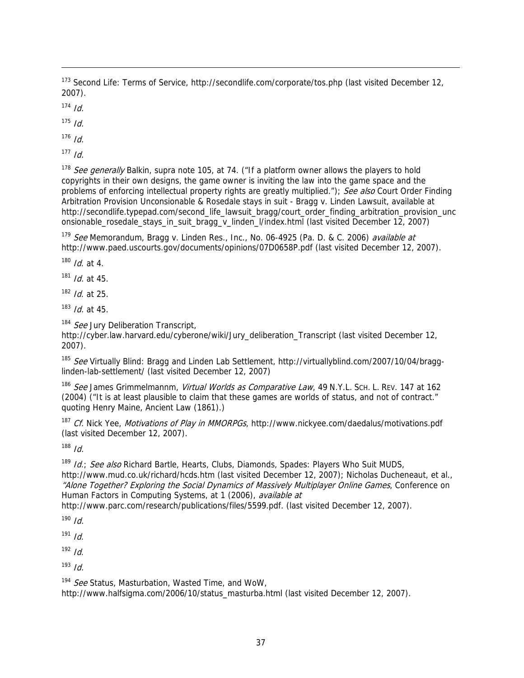<sup>173</sup> Second Life: Terms of Service, http://secondlife.com/corporate/tos.php (last visited December 12, 2007).

 $174$  *Id.* 

-

 $175$  *Id.* 

 $176$  *Id.* 

 $177$  *Id.* 

<sup>178</sup> See generally Balkin, supra note 105, at 74. ("If a platform owner allows the players to hold copyrights in their own designs, the game owner is inviting the law into the game space and the problems of enforcing intellectual property rights are greatly multiplied."); See also Court Order Finding Arbitration Provision Unconsionable & Rosedale stays in suit - Bragg v. Linden Lawsuit, available at http://secondlife.typepad.com/second\_life\_lawsuit\_bragg/court\_order\_finding\_arbitration\_provision\_unc onsionable\_rosedale\_stays\_in\_suit\_bragg\_v\_linden\_l/index.html (last visited December 12, 2007)

 $179$  See Memorandum, Bragg v. Linden Res., Inc., No. 06-4925 (Pa. D. & C. 2006) available at http://www.paed.uscourts.gov/documents/opinions/07D0658P.pdf (last visited December 12, 2007).

 $180$  *Id.* at 4.

 $181$  *Id.* at 45.

 $182$  *Id.* at 25.

 $183$  *Id.* at 45.

<sup>184</sup> See Jury Deliberation Transcript,

http://cyber.law.harvard.edu/cyberone/wiki/Jury\_deliberation\_Transcript (last visited December 12, 2007).

<sup>185</sup> See Virtually Blind: Bragg and Linden Lab Settlement, http://virtuallyblind.com/2007/10/04/bragglinden-lab-settlement/ (last visited December 12, 2007)

186 See James Grimmelmannm, Virtual Worlds as Comparative Law, 49 N.Y.L. Sch. L. REV. 147 at 162 (2004) ("It is at least plausible to claim that these games are worlds of status, and not of contract." quoting Henry Maine, Ancient Law (1861).)

<sup>187</sup> Cf. Nick Yee, *Motivations of Play in MMORPGs*, http://www.nickyee.com/daedalus/motivations.pdf (last visited December 12, 2007).

 $188$  *Id* 

 $189$  *Id.; See also* Richard Bartle, Hearts, Clubs, Diamonds, Spades: Players Who Suit MUDS, http://www.mud.co.uk/richard/hcds.htm (last visited December 12, 2007); Nicholas Ducheneaut, et al., "Alone Together? Exploring the Social Dynamics of Massively Multiplayer Online Games, Conference on Human Factors in Computing Systems, at 1 (2006), available at

http://www.parc.com/research/publications/files/5599.pdf. (last visited December 12, 2007).

 $190$  Id.

 $191$  Id.

 $192$  *Id.* 

 $193$  *Id.* 

<sup>194</sup> See Status, Masturbation, Wasted Time, and WoW,

http://www.halfsigma.com/2006/10/status\_masturba.html (last visited December 12, 2007).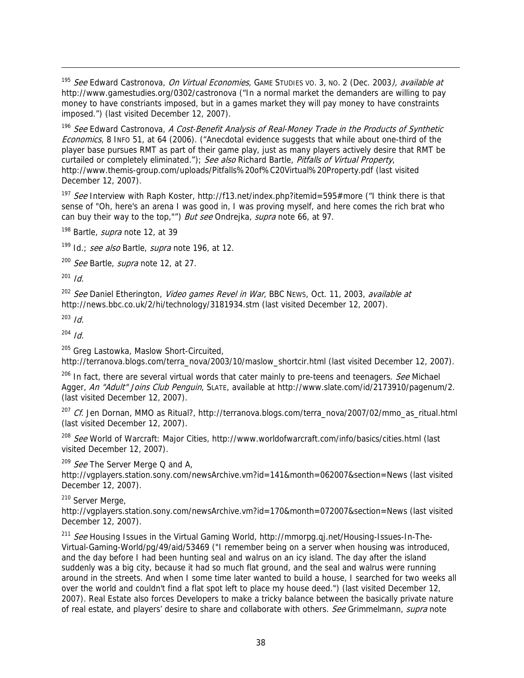<sup>195</sup> See Edward Castronova, On Virtual Economies, GAME STUDIES VO. 3, NO. 2 (Dec. 2003), available at http://www.gamestudies.org/0302/castronova ("In a normal market the demanders are willing to pay money to have constriants imposed, but in a games market they will pay money to have constraints imposed.") (last visited December 12, 2007).

<sup>196</sup> See Edward Castronova, A Cost-Benefit Analysis of Real-Money Trade in the Products of Synthetic Economics, 8 INFO 51, at 64 (2006). ("Anecdotal evidence suggests that while about one-third of the player base pursues RMT as part of their game play, just as many players actively desire that RMT be curtailed or completely eliminated."); See also Richard Bartle, Pitfalls of Virtual Property, http://www.themis-group.com/uploads/Pitfalls%20of%C20Virtual%20Property.pdf (last visited December 12, 2007).

<sup>197</sup> See Interview with Raph Koster, http://f13.net/index.php?itemid=595#more ("I think there is that sense of "Oh, here's an arena I was good in, I was proving myself, and here comes the rich brat who can buy their way to the top,"") But see Ondrejka, supra note 66, at 97.

<sup>198</sup> Bartle, *supra* note 12, at 39

 $199$  Id.; see also Bartle, supra note 196, at 12.

<sup>200</sup> See Bartle, supra note 12, at 27.

 $201$  *Id.* 

-

<sup>202</sup> See Daniel Etherington, Video games Revel in War, BBC NEws, Oct. 11, 2003, available at http://news.bbc.co.uk/2/hi/technology/3181934.stm (last visited December 12, 2007).

 $203$  Id.

 $204$  *Id.* 

<sup>205</sup> Greg Lastowka, Maslow Short-Circuited,

http://terranova.blogs.com/terra\_nova/2003/10/maslow\_shortcir.html (last visited December 12, 2007).

 $206$  In fact, there are several virtual words that cater mainly to pre-teens and teenagers. See Michael Agger, An "Adult" Joins Club Penguin, SLATE, available at http://www.slate.com/id/2173910/pagenum/2. (last visited December 12, 2007).

 $207$  Cf. Jen Dornan, MMO as Ritual?, http://terranova.blogs.com/terra\_nova/2007/02/mmo\_as\_ritual.html (last visited December 12, 2007).

<sup>208</sup> See World of Warcraft: Major Cities, http://www.worldofwarcraft.com/info/basics/cities.html (last visited December 12, 2007).

 $209$  *See* The Server Merge Q and A,

http://vgplayers.station.sony.com/newsArchive.vm?id=141&month=062007&section=News (last visited December 12, 2007).

<sup>210</sup> Server Merge,

http://vgplayers.station.sony.com/newsArchive.vm?id=170&month=072007&section=News (last visited December 12, 2007).

<sup>211</sup> See Housing Issues in the Virtual Gaming World, http://mmorpg.qj.net/Housing-Issues-In-The-Virtual-Gaming-World/pg/49/aid/53469 ("I remember being on a server when housing was introduced, and the day before I had been hunting seal and walrus on an icy island. The day after the island suddenly was a big city, because it had so much flat ground, and the seal and walrus were running around in the streets. And when I some time later wanted to build a house, I searched for two weeks all over the world and couldn't find a flat spot left to place my house deed.") (last visited December 12, 2007). Real Estate also forces Developers to make a tricky balance between the basically private nature of real estate, and players' desire to share and collaborate with others. See Grimmelmann, supra note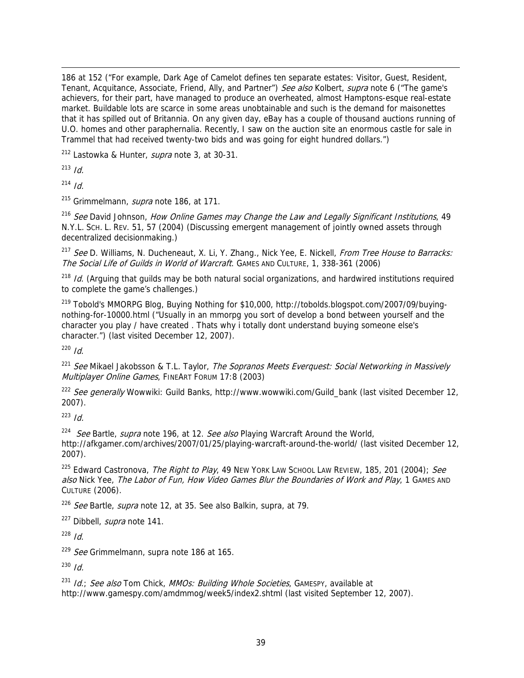-186 at 152 ("For example, Dark Age of Camelot defines ten separate estates: Visitor, Guest, Resident, Tenant, Acquitance, Associate, Friend, Ally, and Partner") See also Kolbert, supra note 6 ("The game's achievers, for their part, have managed to produce an overheated, almost Hamptons-esque real-estate market. Buildable lots are scarce in some areas unobtainable and such is the demand for maisonettes that it has spilled out of Britannia. On any given day, eBay has a couple of thousand auctions running of U.O. homes and other paraphernalia. Recently, I saw on the auction site an enormous castle for sale in Trammel that had received twenty-two bids and was going for eight hundred dollars.")

<sup>212</sup> Lastowka & Hunter, *supra* note 3, at 30-31.

 $213$  *Id.* 

 $214$  Id.

 $^{215}$  Grimmelmann, *supra* note 186, at 171.

<sup>216</sup> See David Johnson, How Online Games may Change the Law and Legally Significant Institutions, 49 N.Y.L. SCH. L. REV. 51, 57 (2004) (Discussing emergent management of jointly owned assets through decentralized decisionmaking.)

<sup>217</sup> See D. Williams, N. Ducheneaut, X. Li, Y. Zhang., Nick Yee, E. Nickell, From Tree House to Barracks: The Social Life of Guilds in World of Warcraft. GAMES AND CULTURE, 1, 338-361 (2006)

<sup>218</sup> Id. (Arguing that guilds may be both natural social organizations, and hardwired institutions required to complete the game's challenges.)

<sup>219</sup> Tobold's MMORPG Blog, Buying Nothing for \$10,000, http://tobolds.blogspot.com/2007/09/buyingnothing-for-10000.html ("Usually in an mmorpg you sort of develop a bond between yourself and the character you play / have created . Thats why i totally dont understand buying someone else's character.") (last visited December 12, 2007).

 $220$  Id.

<sup>221</sup> See Mikael Jakobsson & T.L. Taylor, The Sopranos Meets Everquest: Social Networking in Massively Multiplayer Online Games, FINEART FORUM 17:8 (2003)

<sup>222</sup> See generally Wowwiki: Guild Banks, http://www.wowwiki.com/Guild\_bank (last visited December 12, 2007).

 $223$  *Id.* 

<sup>224</sup> See Bartle, *supra* note 196, at 12. See also Playing Warcraft Around the World,

http://afkgamer.com/archives/2007/01/25/playing-warcraft-around-the-world/ (last visited December 12, 2007).

 $225$  Edward Castronova, *The Right to Play*, 49 New York Law School Law Review, 185, 201 (2004); See also Nick Yee, The Labor of Fun, How Video Games Blur the Boundaries of Work and Play, 1 GAMES AND CULTURE (2006).

 $226$  See Bartle, supra note 12, at 35. See also Balkin, supra, at 79.

<sup>227</sup> Dibbell, *supra* note 141.

 $228$  Id.

 $229$  See Grimmelmann, supra note 186 at 165.

 $230$  *Id.* 

 $231$  Id.; See also Tom Chick, MMOs: Building Whole Societies, GAMESPY, available at http://www.gamespy.com/amdmmog/week5/index2.shtml (last visited September 12, 2007).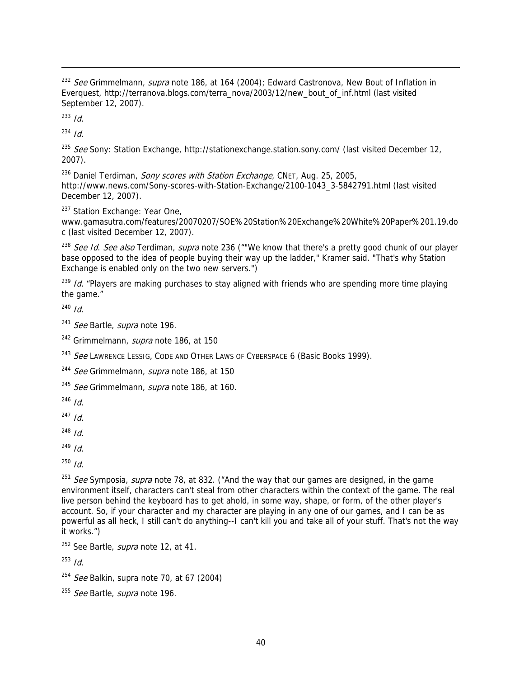<sup>232</sup> See Grimmelmann, supra note 186, at 164 (2004); Edward Castronova, New Bout of Inflation in Everquest, http://terranova.blogs.com/terra\_nova/2003/12/new\_bout\_of\_inf.html (last visited September 12, 2007).

 $233$  *Id.* 

-

 $234$  Id.

<sup>235</sup> See Sony: Station Exchange, http://stationexchange.station.sony.com/ (last visited December 12, 2007).

<sup>236</sup> Daniel Terdiman, *Sony scores with Station Exchange*, CNET, Aug. 25, 2005, http://www.news.com/Sony-scores-with-Station-Exchange/2100-1043\_3-5842791.html (last visited December 12, 2007).

<sup>237</sup> Station Exchange: Year One,

www.gamasutra.com/features/20070207/SOE%20Station%20Exchange%20White%20Paper%201.19.do c (last visited December 12, 2007).

<sup>238</sup> See Id. See also Terdiman, supra note 236 (""We know that there's a pretty good chunk of our player base opposed to the idea of people buying their way up the ladder," Kramer said. "That's why Station Exchange is enabled only on the two new servers.")

<sup>239</sup> Id. "Players are making purchases to stay aligned with friends who are spending more time playing the game."

 $240$  *Id.* 

<sup>241</sup> See Bartle, supra note 196.

<sup>242</sup> Grimmelmann, *supra* note 186, at 150

<sup>243</sup> See LAWRENCE LESSIG, CODE AND OTHER LAWS OF CYBERSPACE 6 (Basic Books 1999).

<sup>244</sup> See Grimmelmann, supra note 186, at 150

 $245$  *See* Grimmelmann, *supra* note 186, at 160.

 $246$  *Id.* 

 $^{247}$  Id.

 $248$  *Id.* 

 $^{249}$  Id.

 $250$  *Id.* 

<sup>251</sup> See Symposia, supra note 78, at 832. ("And the way that our games are designed, in the game environment itself, characters can't steal from other characters within the context of the game. The real live person behind the keyboard has to get ahold, in some way, shape, or form, of the other player's account. So, if your character and my character are playing in any one of our games, and I can be as powerful as all heck, I still can't do anything--I can't kill you and take all of your stuff. That's not the way it works.")

 $252$  See Bartle, *supra* note 12, at 41.

 $253$  *Id.* 

 $254$  *See* Balkin, supra note 70, at 67 (2004)

<sup>255</sup> See Bartle, supra note 196.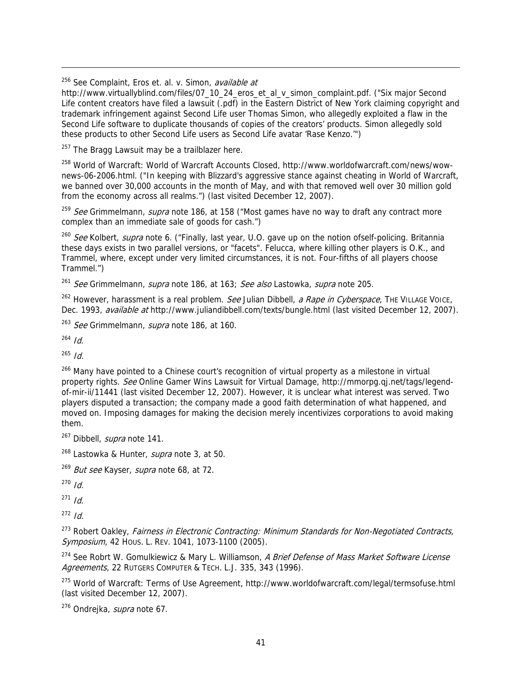<sup>256</sup> See Complaint, Eros et. al. v. Simon, *available at* 

http://www.virtuallyblind.com/files/07\_10\_24\_eros\_et\_al\_v\_simon\_complaint.pdf. ("Six major Second Life content creators have filed a lawsuit (.pdf) in the Eastern District of New York claiming copyright and trademark infringement against Second Life user Thomas Simon, who allegedly exploited a flaw in the Second Life software to duplicate thousands of copies of the creators' products. Simon allegedly sold these products to other Second Life users as Second Life avatar 'Rase Kenzo.'")

 $257$  The Bragg Lawsuit may be a trailblazer here.

258 World of Warcraft: World of Warcraft Accounts Closed, http://www.worldofwarcraft.com/news/wownews-06-2006.html. ("In keeping with Blizzard's aggressive stance against cheating in World of Warcraft, we banned over 30,000 accounts in the month of May, and with that removed well over 30 million gold from the economy across all realms.") (last visited December 12, 2007).

<sup>259</sup> See Grimmelmann, supra note 186, at 158 ("Most games have no way to draft any contract more complex than an immediate sale of goods for cash.")

<sup>260</sup> See Kolbert, supra note 6. ("Finally, last year, U.O. gave up on the notion ofself-policing. Britannia these days exists in two parallel versions, or "facets". Felucca, where killing other players is O.K., and Trammel, where, except under very limited circumstances, it is not. Four-fifths of all players choose Trammel.")

<sup>261</sup> See Grimmelmann, *supra* note 186, at 163; See also Lastowka, *supra* note 205.

 $262$  However, harassment is a real problem. See Julian Dibbell, a Rape in Cyberspace, THE VILLAGE VOICE, Dec. 1993, *available at* http://www.juliandibbell.com/texts/bungle.html (last visited December 12, 2007).

 $263$  *See* Grimmelmann, *supra* note 186, at 160.

 $264$  Id.

-

 $265$  *Id.* 

<sup>266</sup> Many have pointed to a Chinese court's recognition of virtual property as a milestone in virtual property rights. See Online Gamer Wins Lawsuit for Virtual Damage, http://mmorpg.qj.net/tags/legendof-mir-ii/11441 (last visited December 12, 2007). However, it is unclear what interest was served. Two players disputed a transaction; the company made a good faith determination of what happened, and moved on. Imposing damages for making the decision merely incentivizes corporations to avoid making them.

<sup>267</sup> Dibbell, *supra* note 141.

 $^{268}$  Lastowka & Hunter, *supra* note 3, at 50.

<sup>269</sup> But see Kayser, supra note 68, at 72.

 $270$  *Id.* 

 $271$  *Id.* 

 $272$  Id.

<sup>273</sup> Robert Oakley, Fairness in Electronic Contracting: Minimum Standards for Non-Negotiated Contracts, Symposium, 42 Hous. L. REV. 1041, 1073-1100 (2005).

<sup>274</sup> See Robrt W. Gomulkiewicz & Mary L. Williamson, A Brief Defense of Mass Market Software License Agreements, 22 RUTGERS COMPUTER & TECH. L.J. 335, 343 (1996).

275 World of Warcraft: Terms of Use Agreement, http://www.worldofwarcraft.com/legal/termsofuse.html (last visited December 12, 2007).

<sup>276</sup> Ondrejka, *supra* note 67.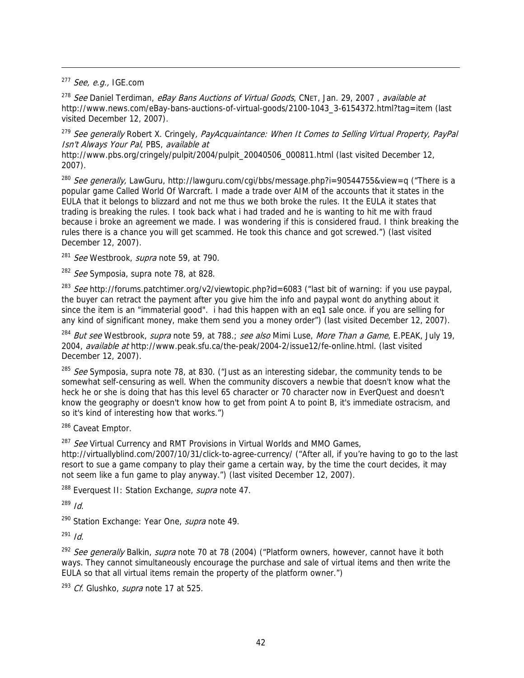$277$  See, e.g., IGE.com

-

<sup>278</sup> See Daniel Terdiman, eBay Bans Auctions of Virtual Goods, CNET, Jan. 29, 2007, available at http://www.news.com/eBay-bans-auctions-of-virtual-goods/2100-1043\_3-6154372.html?tag=item (last visited December 12, 2007).

<sup>279</sup> See generally Robert X. Cringely, PayAcquaintance: When It Comes to Selling Virtual Property, PayPal Isn't Always Your Pal, PBS, available at

http://www.pbs.org/cringely/pulpit/2004/pulpit\_20040506\_000811.html (last visited December 12, 2007).

<sup>280</sup> See generally, LawGuru, http://lawguru.com/cgi/bbs/message.php?i=90544755&view=q ("There is a popular game Called World Of Warcraft. I made a trade over AIM of the accounts that it states in the EULA that it belongs to blizzard and not me thus we both broke the rules. It the EULA it states that trading is breaking the rules. I took back what i had traded and he is wanting to hit me with fraud because i broke an agreement we made. I was wondering if this is considered fraud. I think breaking the rules there is a chance you will get scammed. He took this chance and got screwed.") (last visited December 12, 2007).

 $281$  See Westbrook, supra note 59, at 790.

 $282$  *See* Symposia, supra note 78, at 828.

<sup>283</sup> See http://forums.patchtimer.org/v2/viewtopic.php?id=6083 ("last bit of warning: if you use paypal, the buyer can retract the payment after you give him the info and paypal wont do anything about it since the item is an "immaterial good". i had this happen with an eq1 sale once. if you are selling for any kind of significant money, make them send you a money order") (last visited December 12, 2007).

<sup>284</sup> But see Westbrook, *supra* note 59, at 788.; see also Mimi Luse, *More Than a Game*, E.PEAK, July 19, 2004, available at http://www.peak.sfu.ca/the-peak/2004-2/issue12/fe-online.html. (last visited December 12, 2007).

 $285$  See Symposia, supra note 78, at 830. ("Just as an interesting sidebar, the community tends to be somewhat self-censuring as well. When the community discovers a newbie that doesn't know what the heck he or she is doing that has this level 65 character or 70 character now in EverQuest and doesn't know the geography or doesn't know how to get from point A to point B, it's immediate ostracism, and so it's kind of interesting how that works.")

<sup>286</sup> Caveat Emptor.

<sup>287</sup> See Virtual Currency and RMT Provisions in Virtual Worlds and MMO Games,

http://virtuallyblind.com/2007/10/31/click-to-agree-currency/ ("After all, if you're having to go to the last resort to sue a game company to play their game a certain way, by the time the court decides, it may not seem like a fun game to play anyway.") (last visited December 12, 2007).

<sup>288</sup> Everquest II: Station Exchange, *supra* note 47.

 $289$  *Id.* 

<sup>290</sup> Station Exchange: Year One, *supra* note 49.

 $291$  *Id.* 

<sup>292</sup> See generally Balkin, supra note 70 at 78 (2004) ("Platform owners, however, cannot have it both ways. They cannot simultaneously encourage the purchase and sale of virtual items and then write the EULA so that all virtual items remain the property of the platform owner.")

 $293$  Cf. Glushko, supra note 17 at 525.